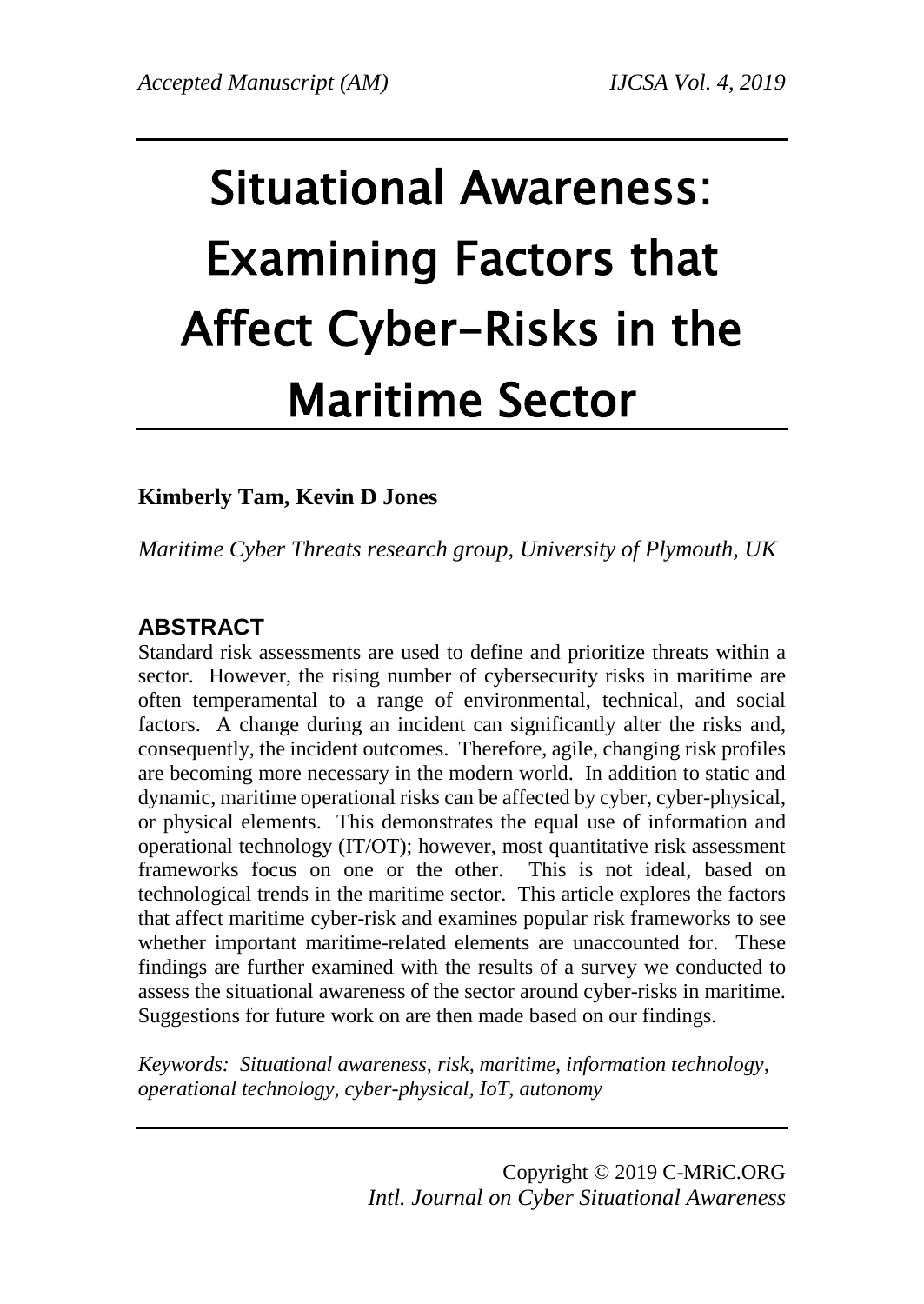# Situational Awareness: Examining Factors that Affect Cyber-Risks in the Maritime Sector

## **Kimberly Tam, Kevin D Jones**

*Maritime Cyber Threats research group, University of Plymouth, UK*

# **ABSTRACT**

Standard risk assessments are used to define and prioritize threats within a sector. However, the rising number of cybersecurity risks in maritime are often temperamental to a range of environmental, technical, and social factors. A change during an incident can significantly alter the risks and, consequently, the incident outcomes. Therefore, agile, changing risk profiles are becoming more necessary in the modern world. In addition to static and dynamic, maritime operational risks can be affected by cyber, cyber-physical, or physical elements. This demonstrates the equal use of information and operational technology (IT/OT); however, most quantitative risk assessment frameworks focus on one or the other. This is not ideal, based on technological trends in the maritime sector. This article explores the factors that affect maritime cyber-risk and examines popular risk frameworks to see whether important maritime-related elements are unaccounted for. These findings are further examined with the results of a survey we conducted to assess the situational awareness of the sector around cyber-risks in maritime. Suggestions for future work on are then made based on our findings.

*Keywords: Situational awareness, risk, maritime, information technology, operational technology, cyber-physical, IoT, autonomy*

> Copyright © 2019 C-MRiC.ORG *Intl. Journal on Cyber Situational Awareness*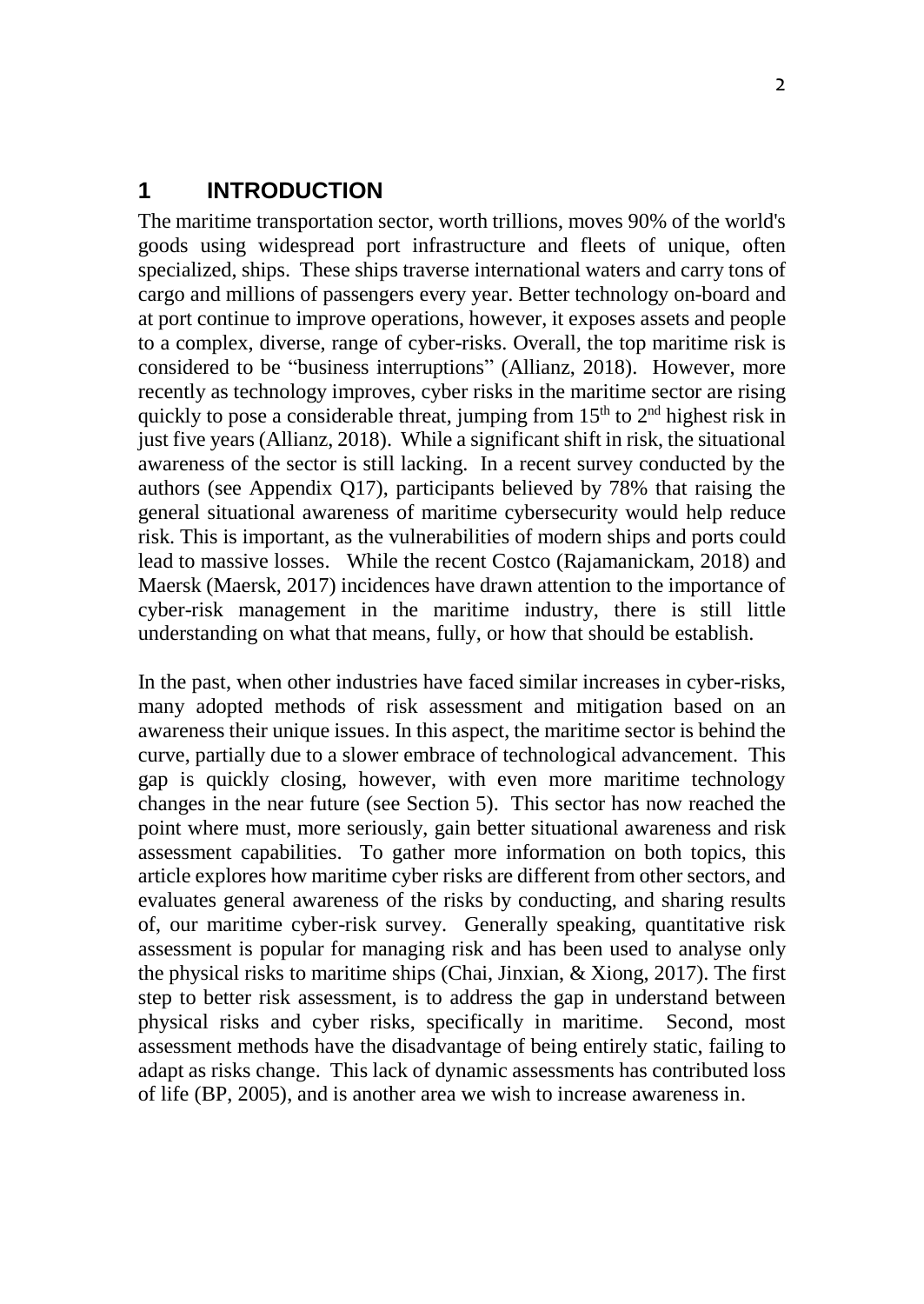#### **1 INTRODUCTION**

The maritime transportation sector, worth trillions, moves 90% of the world's goods using widespread port infrastructure and fleets of unique, often specialized, ships. These ships traverse international waters and carry tons of cargo and millions of passengers every year. Better technology on-board and at port continue to improve operations, however, it exposes assets and people to a complex, diverse, range of cyber-risks. Overall, the top maritime risk is considered to be "business interruptions" (Allianz, 2018). However, more recently as technology improves, cyber risks in the maritime sector are rising quickly to pose a considerable threat, jumping from  $15<sup>th</sup>$  to  $2<sup>nd</sup>$  highest risk in just five years (Allianz, 2018). While a significant shift in risk, the situational awareness of the sector is still lacking. In a recent survey conducted by the authors (see Appendix Q17), participants believed by 78% that raising the general situational awareness of maritime cybersecurity would help reduce risk. This is important, as the vulnerabilities of modern ships and ports could lead to massive losses. While the recent Costco (Rajamanickam, 2018) and Maersk (Maersk, 2017) incidences have drawn attention to the importance of cyber-risk management in the maritime industry, there is still little understanding on what that means, fully, or how that should be establish.

In the past, when other industries have faced similar increases in cyber-risks, many adopted methods of risk assessment and mitigation based on an awareness their unique issues. In this aspect, the maritime sector is behind the curve, partially due to a slower embrace of technological advancement. This gap is quickly closing, however, with even more maritime technology changes in the near future (see Section 5). This sector has now reached the point where must, more seriously, gain better situational awareness and risk assessment capabilities. To gather more information on both topics, this article explores how maritime cyber risks are different from other sectors, and evaluates general awareness of the risks by conducting, and sharing results of, our maritime cyber-risk survey. Generally speaking, quantitative risk assessment is popular for managing risk and has been used to analyse only the physical risks to maritime ships (Chai, Jinxian, & Xiong, 2017). The first step to better risk assessment, is to address the gap in understand between physical risks and cyber risks, specifically in maritime. Second, most assessment methods have the disadvantage of being entirely static, failing to adapt as risks change. This lack of dynamic assessments has contributed loss of life (BP, 2005), and is another area we wish to increase awareness in.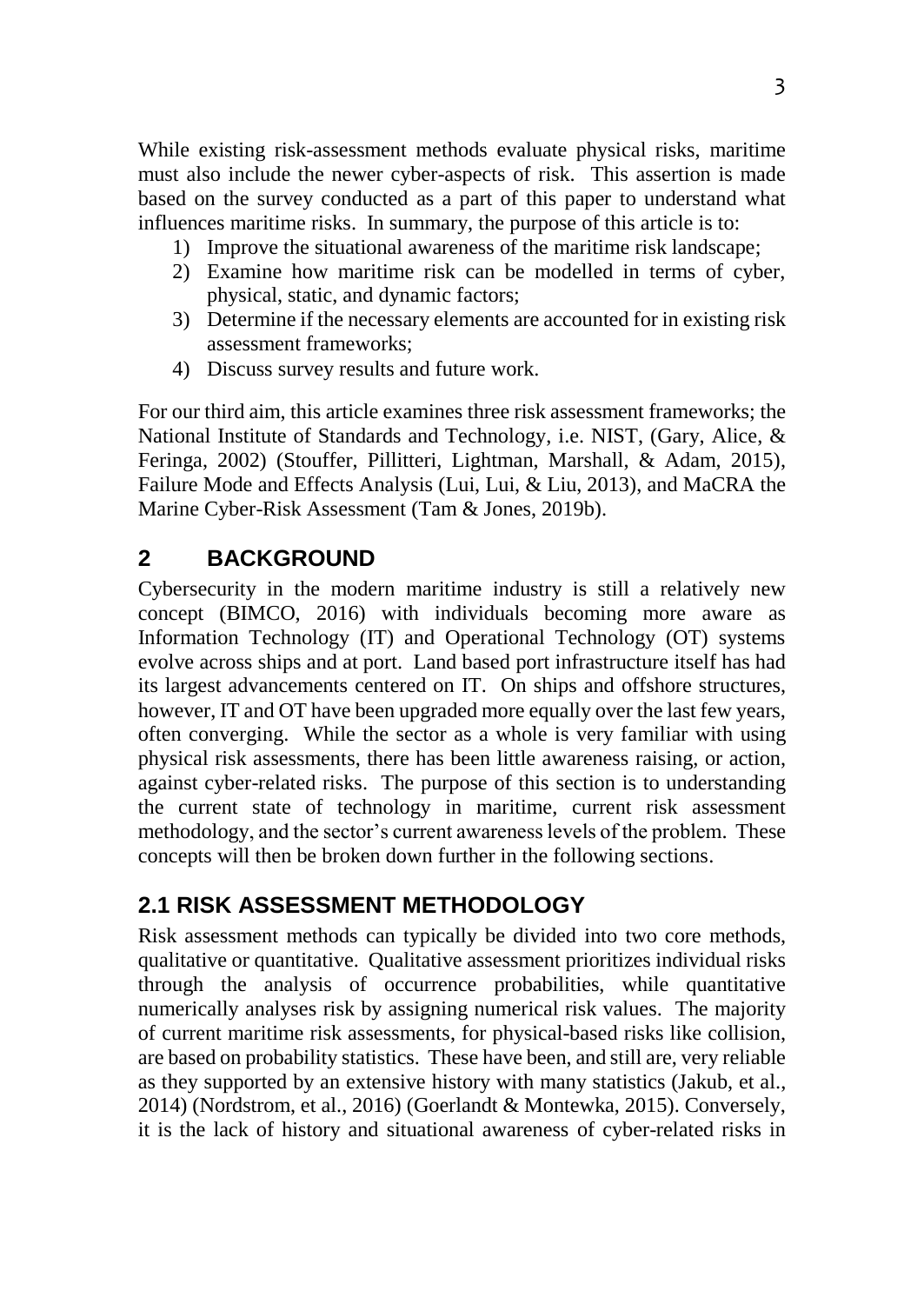While existing risk-assessment methods evaluate physical risks, maritime must also include the newer cyber-aspects of risk. This assertion is made based on the survey conducted as a part of this paper to understand what influences maritime risks. In summary, the purpose of this article is to:

- 1) Improve the situational awareness of the maritime risk landscape;
- 2) Examine how maritime risk can be modelled in terms of cyber, physical, static, and dynamic factors;
- 3) Determine if the necessary elements are accounted for in existing risk assessment frameworks;
- 4) Discuss survey results and future work.

For our third aim, this article examines three risk assessment frameworks; the National Institute of Standards and Technology, i.e. NIST, (Gary, Alice, & Feringa, 2002) (Stouffer, Pillitteri, Lightman, Marshall, & Adam, 2015), Failure Mode and Effects Analysis (Lui, Lui, & Liu, 2013), and MaCRA the Marine Cyber-Risk Assessment (Tam & Jones, 2019b).

# **2 BACKGROUND**

Cybersecurity in the modern maritime industry is still a relatively new concept (BIMCO, 2016) with individuals becoming more aware as Information Technology (IT) and Operational Technology (OT) systems evolve across ships and at port. Land based port infrastructure itself has had its largest advancements centered on IT. On ships and offshore structures, however, IT and OT have been upgraded more equally over the last few years, often converging. While the sector as a whole is very familiar with using physical risk assessments, there has been little awareness raising, or action, against cyber-related risks. The purpose of this section is to understanding the current state of technology in maritime, current risk assessment methodology, and the sector's current awareness levels of the problem. These concepts will then be broken down further in the following sections.

# **2.1 RISK ASSESSMENT METHODOLOGY**

Risk assessment methods can typically be divided into two core methods, qualitative or quantitative. Qualitative assessment prioritizes individual risks through the analysis of occurrence probabilities, while quantitative numerically analyses risk by assigning numerical risk values. The majority of current maritime risk assessments, for physical-based risks like collision, are based on probability statistics. These have been, and still are, very reliable as they supported by an extensive history with many statistics (Jakub, et al., 2014) (Nordstrom, et al., 2016) (Goerlandt & Montewka, 2015). Conversely, it is the lack of history and situational awareness of cyber-related risks in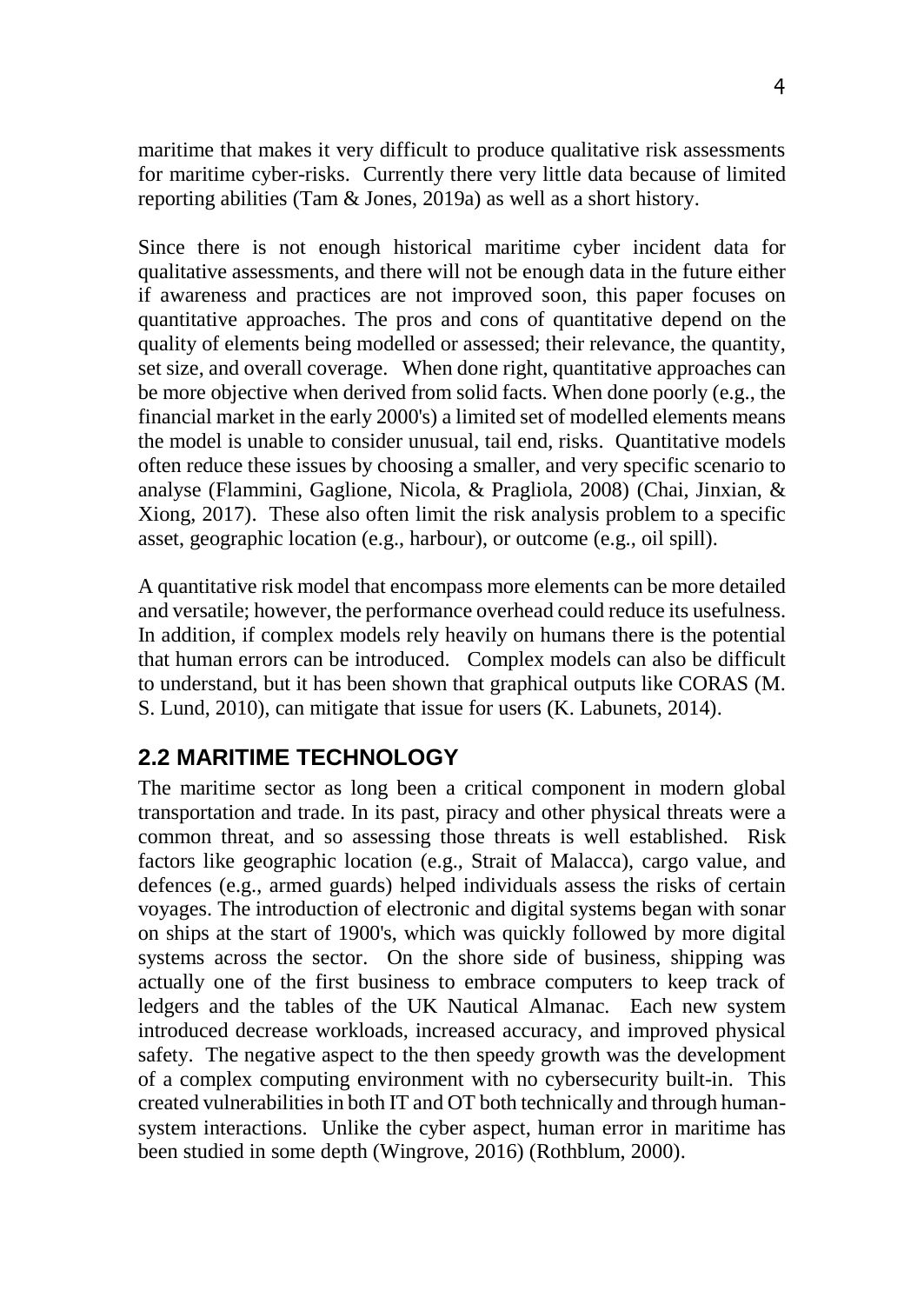maritime that makes it very difficult to produce qualitative risk assessments for maritime cyber-risks. Currently there very little data because of limited reporting abilities (Tam & Jones, 2019a) as well as a short history.

Since there is not enough historical maritime cyber incident data for qualitative assessments, and there will not be enough data in the future either if awareness and practices are not improved soon, this paper focuses on quantitative approaches. The pros and cons of quantitative depend on the quality of elements being modelled or assessed; their relevance, the quantity, set size, and overall coverage. When done right, quantitative approaches can be more objective when derived from solid facts. When done poorly (e.g., the financial market in the early 2000's) a limited set of modelled elements means the model is unable to consider unusual, tail end, risks. Quantitative models often reduce these issues by choosing a smaller, and very specific scenario to analyse (Flammini, Gaglione, Nicola, & Pragliola, 2008) (Chai, Jinxian, & Xiong, 2017). These also often limit the risk analysis problem to a specific asset, geographic location (e.g., harbour), or outcome (e.g., oil spill).

A quantitative risk model that encompass more elements can be more detailed and versatile; however, the performance overhead could reduce its usefulness. In addition, if complex models rely heavily on humans there is the potential that human errors can be introduced. Complex models can also be difficult to understand, but it has been shown that graphical outputs like CORAS (M. S. Lund, 2010), can mitigate that issue for users (K. Labunets, 2014).

# **2.2 MARITIME TECHNOLOGY**

The maritime sector as long been a critical component in modern global transportation and trade. In its past, piracy and other physical threats were a common threat, and so assessing those threats is well established. Risk factors like geographic location (e.g., Strait of Malacca), cargo value, and defences (e.g., armed guards) helped individuals assess the risks of certain voyages. The introduction of electronic and digital systems began with sonar on ships at the start of 1900's, which was quickly followed by more digital systems across the sector. On the shore side of business, shipping was actually one of the first business to embrace computers to keep track of ledgers and the tables of the UK Nautical Almanac. Each new system introduced decrease workloads, increased accuracy, and improved physical safety. The negative aspect to the then speedy growth was the development of a complex computing environment with no cybersecurity built-in. This created vulnerabilities in both IT and OT both technically and through humansystem interactions. Unlike the cyber aspect, human error in maritime has been studied in some depth (Wingrove, 2016) (Rothblum, 2000).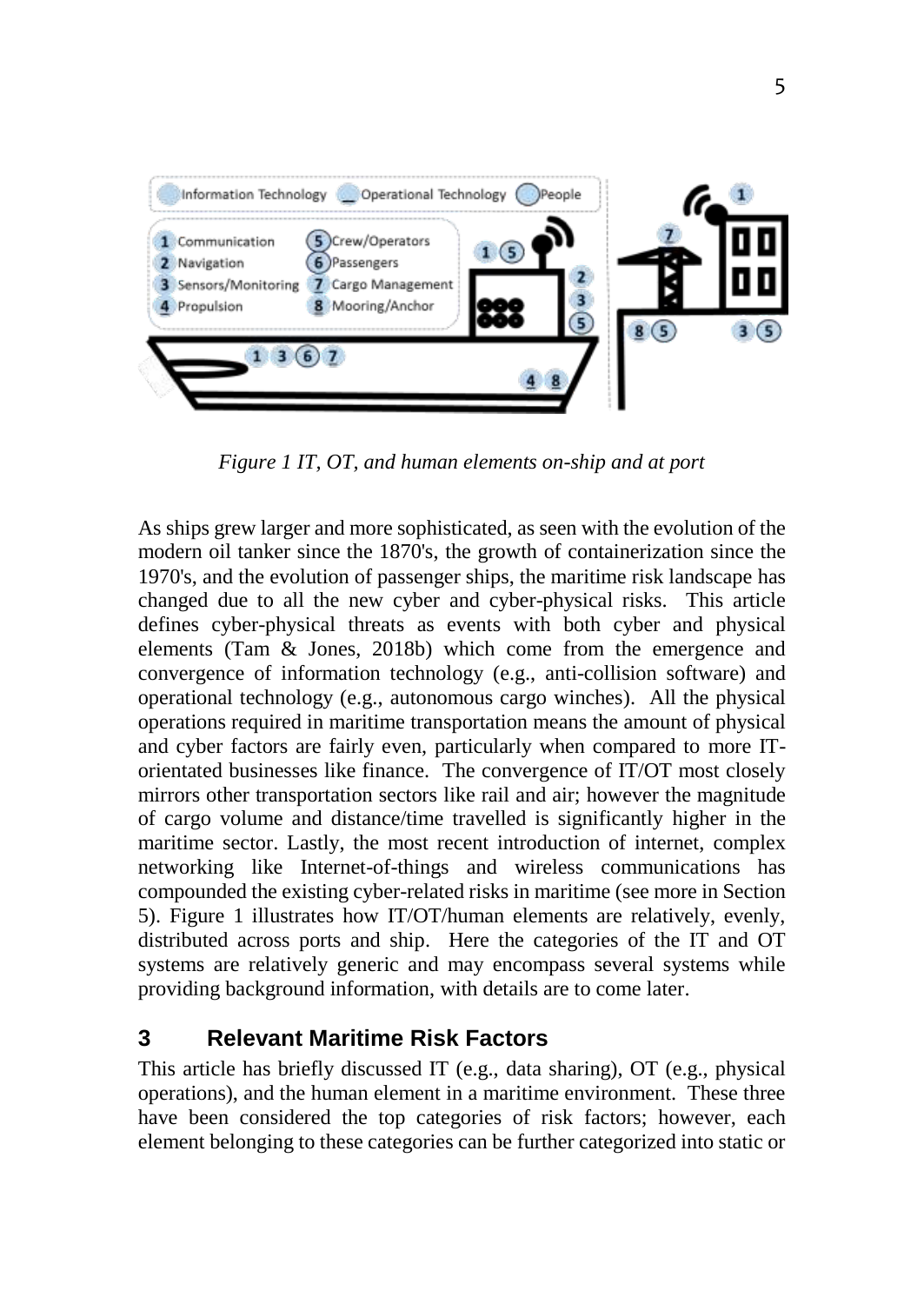

*Figure 1 IT, OT, and human elements on-ship and at port*

As ships grew larger and more sophisticated, as seen with the evolution of the modern oil tanker since the 1870's, the growth of containerization since the 1970's, and the evolution of passenger ships, the maritime risk landscape has changed due to all the new cyber and cyber-physical risks. This article defines cyber-physical threats as events with both cyber and physical elements (Tam & Jones, 2018b) which come from the emergence and convergence of information technology (e.g., anti-collision software) and operational technology (e.g., autonomous cargo winches). All the physical operations required in maritime transportation means the amount of physical and cyber factors are fairly even, particularly when compared to more ITorientated businesses like finance. The convergence of IT/OT most closely mirrors other transportation sectors like rail and air; however the magnitude of cargo volume and distance/time travelled is significantly higher in the maritime sector. Lastly, the most recent introduction of internet, complex networking like Internet-of-things and wireless communications has compounded the existing cyber-related risks in maritime (see more in Section 5). Figure 1 illustrates how IT/OT/human elements are relatively, evenly, distributed across ports and ship. Here the categories of the IT and OT systems are relatively generic and may encompass several systems while providing background information, with details are to come later.

# **3 Relevant Maritime Risk Factors**

This article has briefly discussed IT (e.g., data sharing), OT (e.g., physical operations), and the human element in a maritime environment. These three have been considered the top categories of risk factors; however, each element belonging to these categories can be further categorized into static or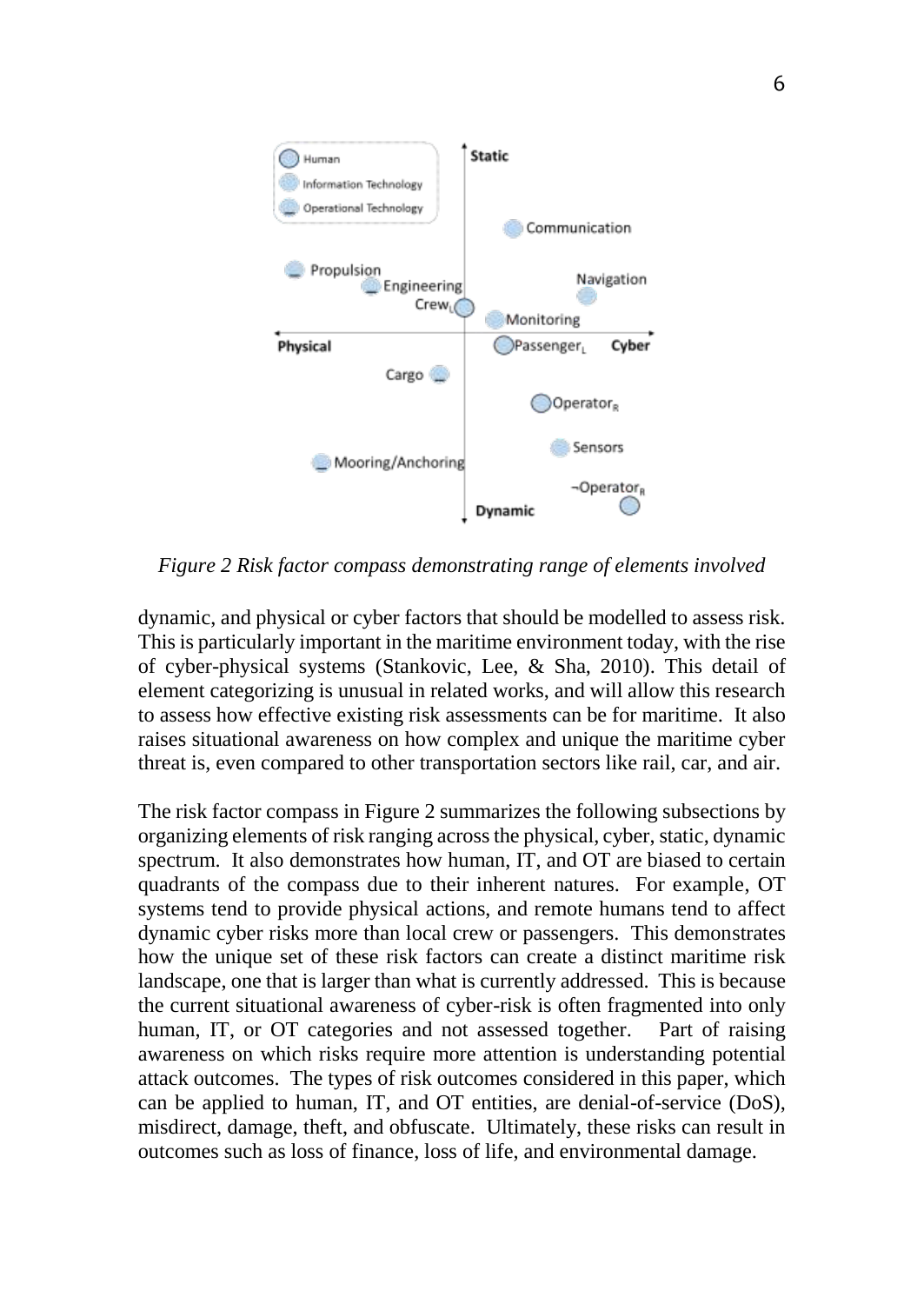

*Figure 2 Risk factor compass demonstrating range of elements involved*

dynamic, and physical or cyber factors that should be modelled to assess risk. This is particularly important in the maritime environment today, with the rise of cyber-physical systems (Stankovic, Lee, & Sha, 2010). This detail of element categorizing is unusual in related works, and will allow this research to assess how effective existing risk assessments can be for maritime. It also raises situational awareness on how complex and unique the maritime cyber threat is, even compared to other transportation sectors like rail, car, and air.

The risk factor compass in Figure 2 summarizes the following subsections by organizing elements of risk ranging across the physical, cyber, static, dynamic spectrum. It also demonstrates how human, IT, and OT are biased to certain quadrants of the compass due to their inherent natures. For example, OT systems tend to provide physical actions, and remote humans tend to affect dynamic cyber risks more than local crew or passengers. This demonstrates how the unique set of these risk factors can create a distinct maritime risk landscape, one that is larger than what is currently addressed. This is because the current situational awareness of cyber-risk is often fragmented into only human, IT, or OT categories and not assessed together. Part of raising awareness on which risks require more attention is understanding potential attack outcomes. The types of risk outcomes considered in this paper, which can be applied to human, IT, and OT entities, are denial-of-service (DoS), misdirect, damage, theft, and obfuscate. Ultimately, these risks can result in outcomes such as loss of finance, loss of life, and environmental damage.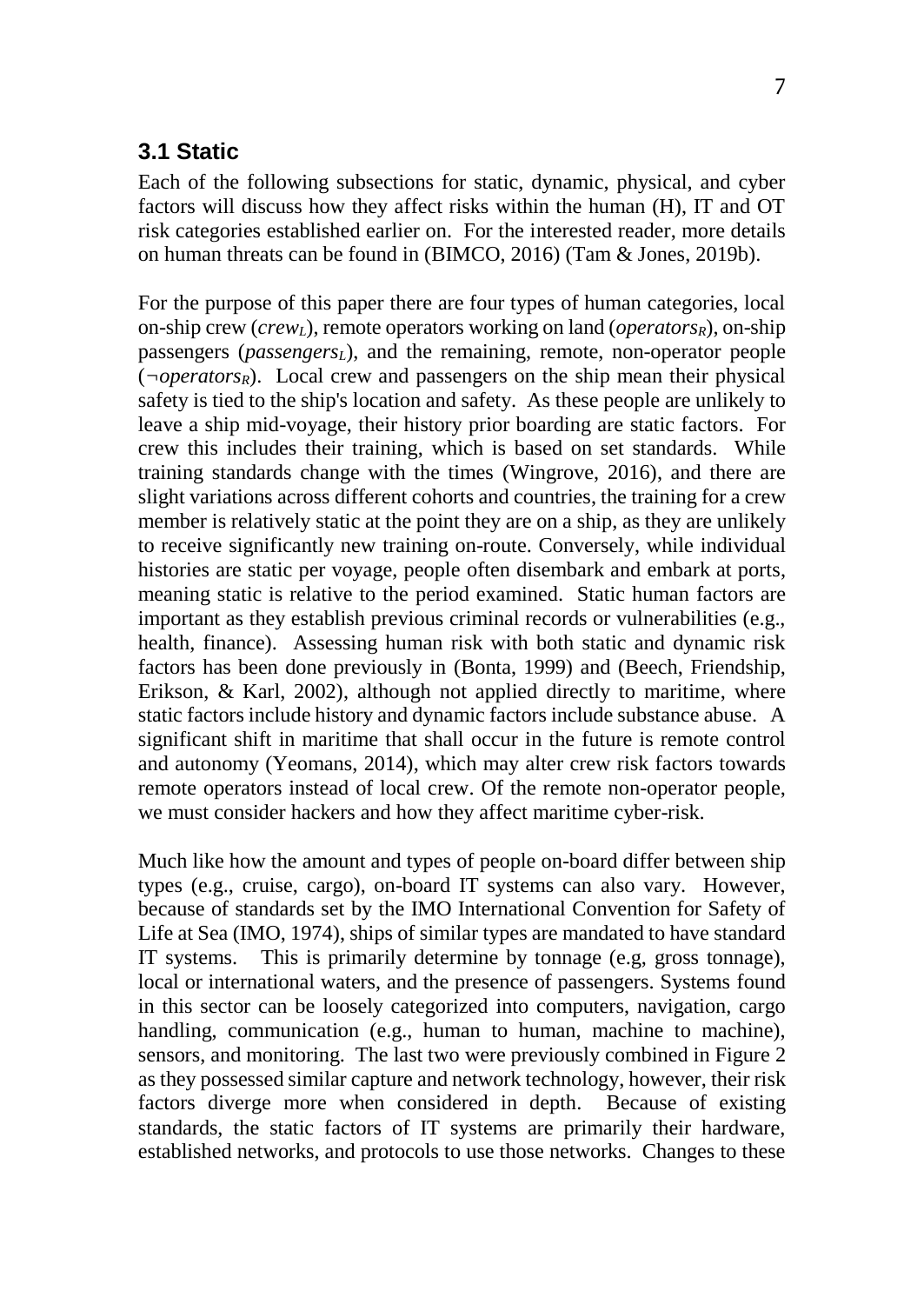#### **3.1 Static**

Each of the following subsections for static, dynamic, physical, and cyber factors will discuss how they affect risks within the human (H), IT and OT risk categories established earlier on. For the interested reader, more details on human threats can be found in (BIMCO, 2016) (Tam & Jones, 2019b).

For the purpose of this paper there are four types of human categories, local on-ship crew (*crewL*), remote operators working on land (*operatorsR*), on-ship passengers (*passengersL*), and the remaining, remote, non-operator people (*[¬o](https://en.wikipedia.org/wiki/Not_sign)peratorsR*). Local crew and passengers on the ship mean their physical safety is tied to the ship's location and safety. As these people are unlikely to leave a ship mid-voyage, their history prior boarding are static factors. For crew this includes their training, which is based on set standards. While training standards change with the times (Wingrove, 2016), and there are slight variations across different cohorts and countries, the training for a crew member is relatively static at the point they are on a ship, as they are unlikely to receive significantly new training on-route. Conversely, while individual histories are static per voyage, people often disembark and embark at ports, meaning static is relative to the period examined. Static human factors are important as they establish previous criminal records or vulnerabilities (e.g., health, finance). Assessing human risk with both static and dynamic risk factors has been done previously in (Bonta, 1999) and (Beech, Friendship, Erikson, & Karl, 2002), although not applied directly to maritime, where static factors include history and dynamic factors include substance abuse. A significant shift in maritime that shall occur in the future is remote control and autonomy (Yeomans, 2014), which may alter crew risk factors towards remote operators instead of local crew. Of the remote non-operator people, we must consider hackers and how they affect maritime cyber-risk.

Much like how the amount and types of people on-board differ between ship types (e.g., cruise, cargo), on-board IT systems can also vary. However, because of standards set by the IMO International Convention for Safety of Life at Sea (IMO, 1974), ships of similar types are mandated to have standard IT systems. This is primarily determine by tonnage (e.g, gross tonnage), local or international waters, and the presence of passengers. Systems found in this sector can be loosely categorized into computers, navigation, cargo handling, communication (e.g., human to human, machine to machine), sensors, and monitoring. The last two were previously combined in Figure 2 as they possessed similar capture and network technology, however, their risk factors diverge more when considered in depth. Because of existing standards, the static factors of IT systems are primarily their hardware, established networks, and protocols to use those networks. Changes to these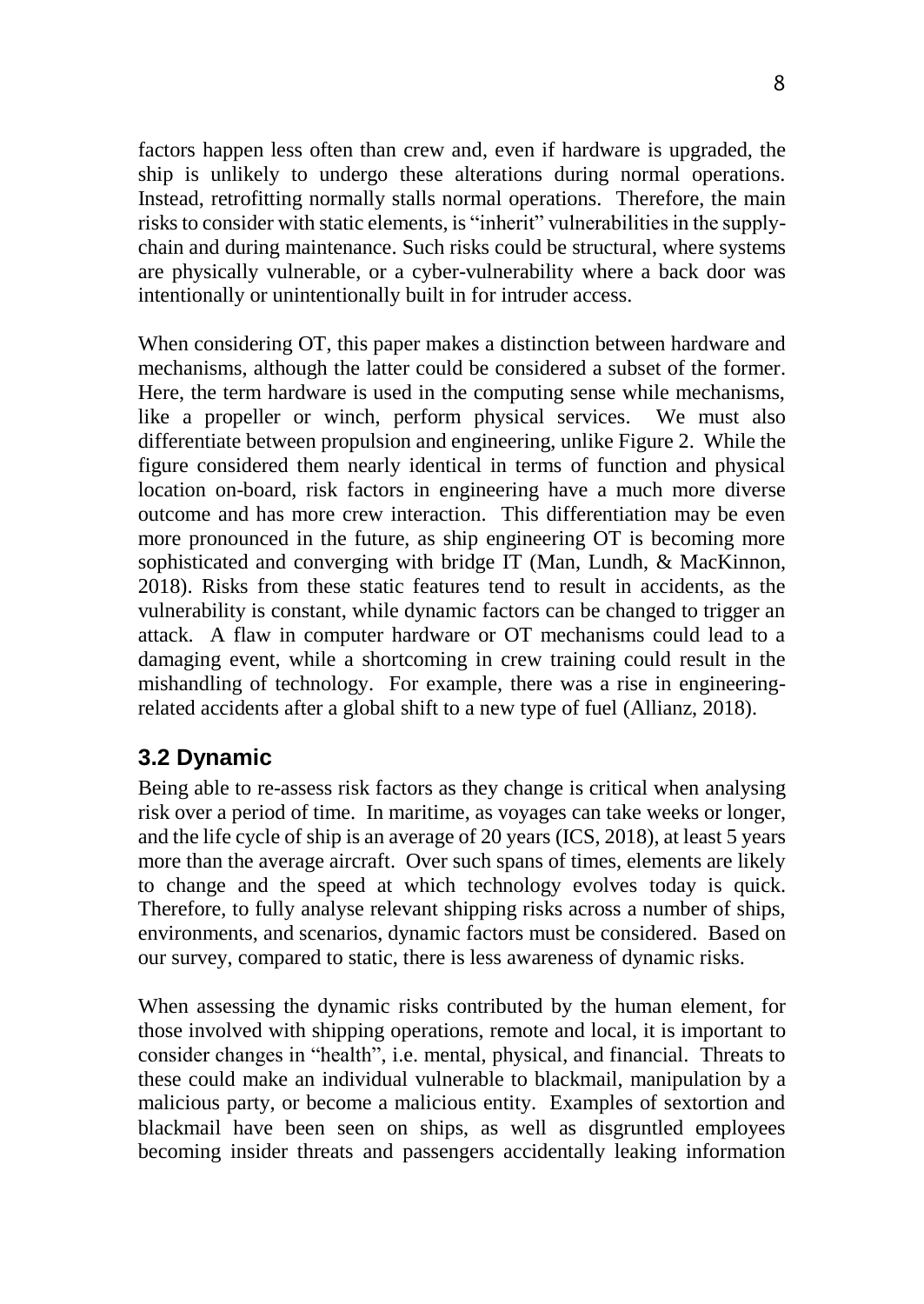factors happen less often than crew and, even if hardware is upgraded, the ship is unlikely to undergo these alterations during normal operations. Instead, retrofitting normally stalls normal operations. Therefore, the main risks to consider with static elements, is "inherit" vulnerabilities in the supplychain and during maintenance. Such risks could be structural, where systems are physically vulnerable, or a cyber-vulnerability where a back door was intentionally or unintentionally built in for intruder access.

When considering OT, this paper makes a distinction between hardware and mechanisms, although the latter could be considered a subset of the former. Here, the term hardware is used in the computing sense while mechanisms, like a propeller or winch, perform physical services. We must also differentiate between propulsion and engineering, unlike Figure 2. While the figure considered them nearly identical in terms of function and physical location on-board, risk factors in engineering have a much more diverse outcome and has more crew interaction. This differentiation may be even more pronounced in the future, as ship engineering OT is becoming more sophisticated and converging with bridge IT (Man, Lundh, & MacKinnon, 2018). Risks from these static features tend to result in accidents, as the vulnerability is constant, while dynamic factors can be changed to trigger an attack. A flaw in computer hardware or OT mechanisms could lead to a damaging event, while a shortcoming in crew training could result in the mishandling of technology. For example, there was a rise in engineeringrelated accidents after a global shift to a new type of fuel (Allianz, 2018).

# **3.2 Dynamic**

Being able to re-assess risk factors as they change is critical when analysing risk over a period of time. In maritime, as voyages can take weeks or longer, and the life cycle of ship is an average of 20 years (ICS, 2018), at least 5 years more than the average aircraft. Over such spans of times, elements are likely to change and the speed at which technology evolves today is quick. Therefore, to fully analyse relevant shipping risks across a number of ships, environments, and scenarios, dynamic factors must be considered. Based on our survey, compared to static, there is less awareness of dynamic risks.

When assessing the dynamic risks contributed by the human element, for those involved with shipping operations, remote and local, it is important to consider changes in "health", i.e. mental, physical, and financial. Threats to these could make an individual vulnerable to blackmail, manipulation by a malicious party, or become a malicious entity. Examples of sextortion and blackmail have been seen on ships, as well as disgruntled employees becoming insider threats and passengers accidentally leaking information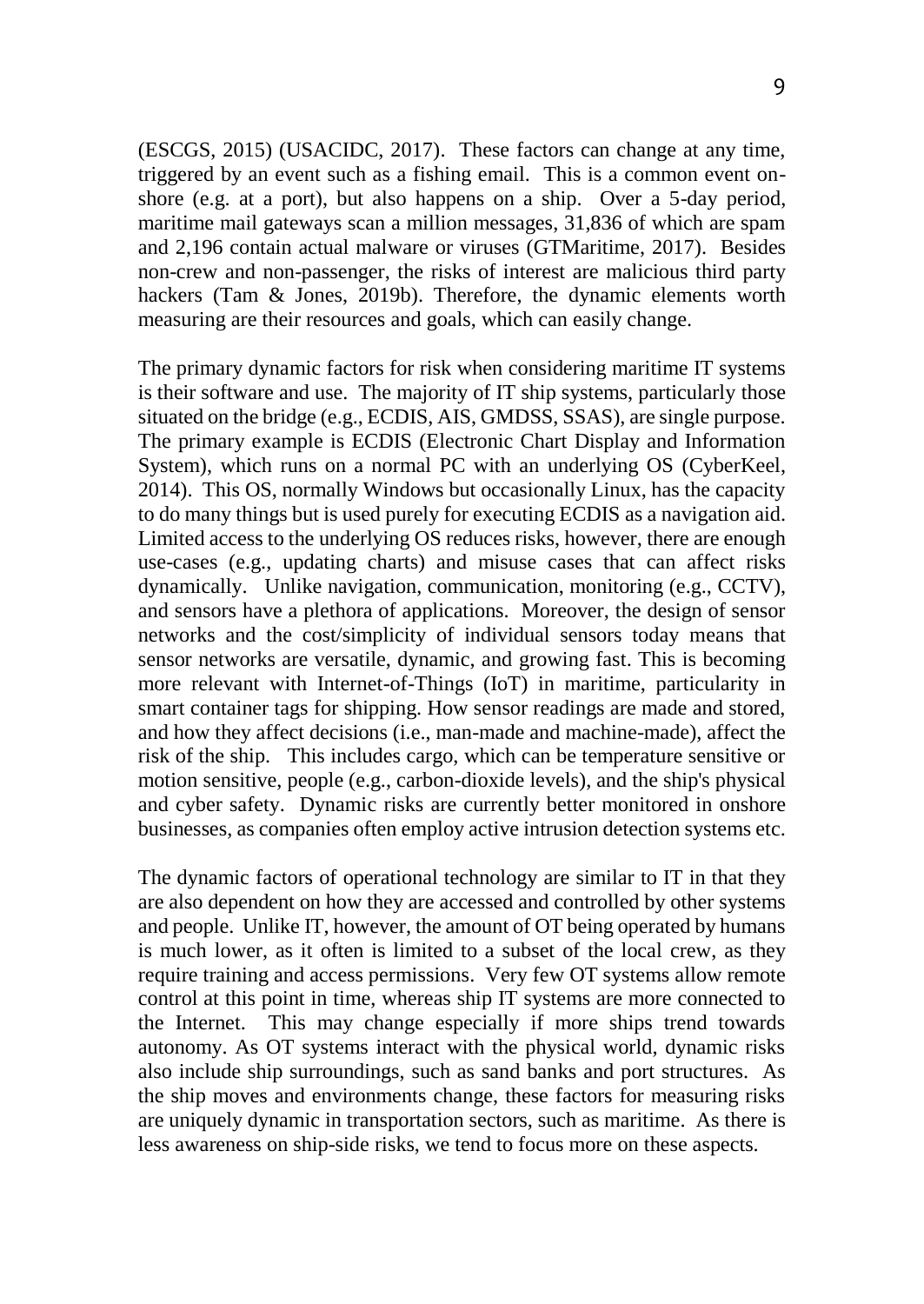(ESCGS, 2015) (USACIDC, 2017). These factors can change at any time, triggered by an event such as a fishing email. This is a common event onshore (e.g. at a port), but also happens on a ship. Over a 5-day period, maritime mail gateways scan a million messages, 31,836 of which are spam and 2,196 contain actual malware or viruses (GTMaritime, 2017). Besides non-crew and non-passenger, the risks of interest are malicious third party hackers (Tam & Jones, 2019b). Therefore, the dynamic elements worth measuring are their resources and goals, which can easily change.

The primary dynamic factors for risk when considering maritime IT systems is their software and use. The majority of IT ship systems, particularly those situated on the bridge (e.g., ECDIS, AIS, GMDSS, SSAS), are single purpose. The primary example is ECDIS (Electronic Chart Display and Information System), which runs on a normal PC with an underlying OS (CyberKeel, 2014). This OS, normally Windows but occasionally Linux, has the capacity to do many things but is used purely for executing ECDIS as a navigation aid. Limited access to the underlying OS reduces risks, however, there are enough use-cases (e.g., updating charts) and misuse cases that can affect risks dynamically. Unlike navigation, communication, monitoring (e.g., CCTV), and sensors have a plethora of applications. Moreover, the design of sensor networks and the cost/simplicity of individual sensors today means that sensor networks are versatile, dynamic, and growing fast. This is becoming more relevant with Internet-of-Things (IoT) in maritime, particularity in smart container tags for shipping. How sensor readings are made and stored, and how they affect decisions (i.e., man-made and machine-made), affect the risk of the ship. This includes cargo, which can be temperature sensitive or motion sensitive, people (e.g., carbon-dioxide levels), and the ship's physical and cyber safety. Dynamic risks are currently better monitored in onshore businesses, as companies often employ active intrusion detection systems etc.

The dynamic factors of operational technology are similar to IT in that they are also dependent on how they are accessed and controlled by other systems and people. Unlike IT, however, the amount of OT being operated by humans is much lower, as it often is limited to a subset of the local crew, as they require training and access permissions. Very few OT systems allow remote control at this point in time, whereas ship IT systems are more connected to the Internet. This may change especially if more ships trend towards autonomy. As OT systems interact with the physical world, dynamic risks also include ship surroundings, such as sand banks and port structures. As the ship moves and environments change, these factors for measuring risks are uniquely dynamic in transportation sectors, such as maritime. As there is less awareness on ship-side risks, we tend to focus more on these aspects.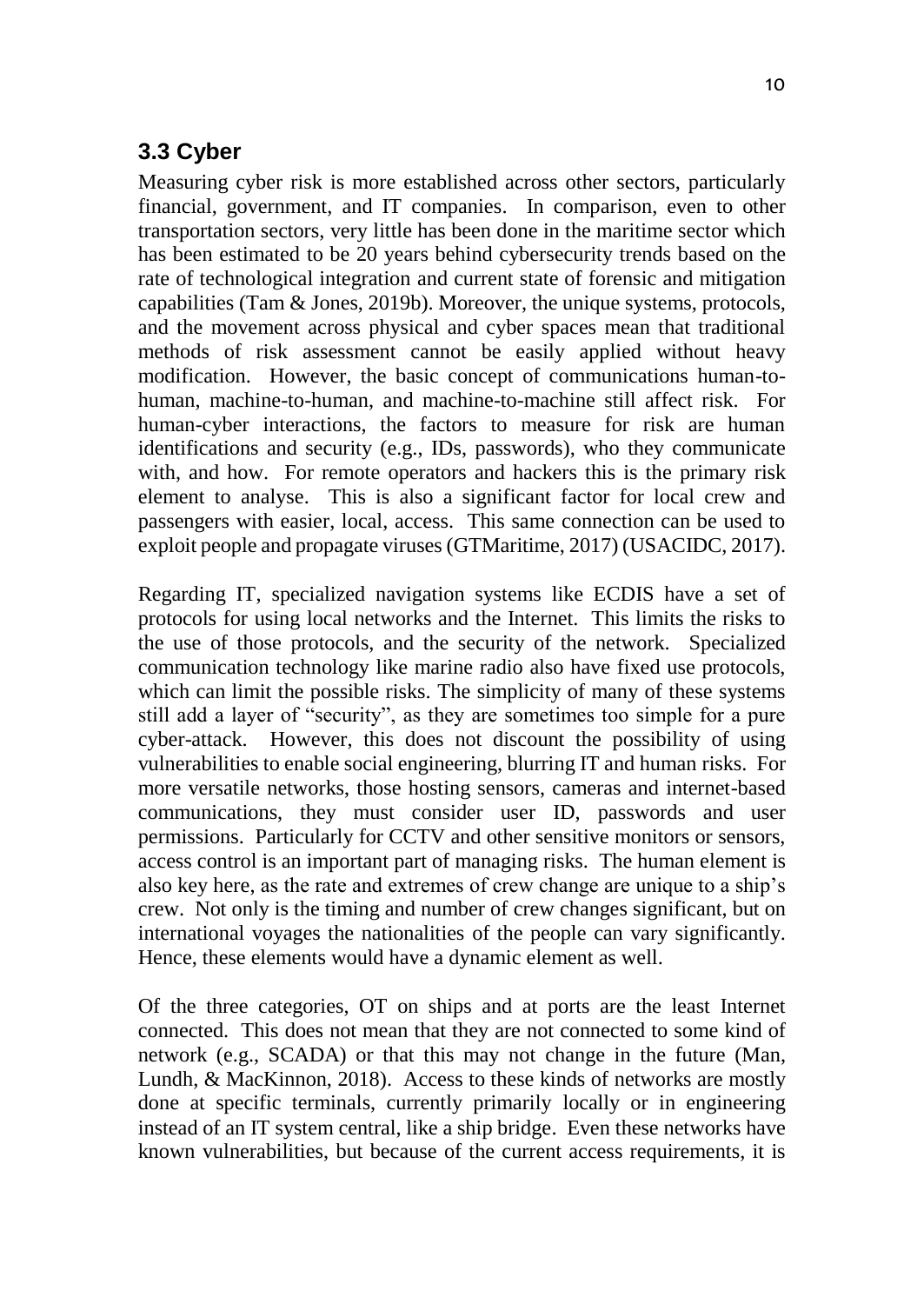#### **3.3 Cyber**

Measuring cyber risk is more established across other sectors, particularly financial, government, and IT companies. In comparison, even to other transportation sectors, very little has been done in the maritime sector which has been estimated to be 20 years behind cybersecurity trends based on the rate of technological integration and current state of forensic and mitigation capabilities (Tam & Jones, 2019b). Moreover, the unique systems, protocols, and the movement across physical and cyber spaces mean that traditional methods of risk assessment cannot be easily applied without heavy modification. However, the basic concept of communications human-tohuman, machine-to-human, and machine-to-machine still affect risk. For human-cyber interactions, the factors to measure for risk are human identifications and security (e.g., IDs, passwords), who they communicate with, and how. For remote operators and hackers this is the primary risk element to analyse. This is also a significant factor for local crew and passengers with easier, local, access. This same connection can be used to exploit people and propagate viruses (GTMaritime, 2017) (USACIDC, 2017).

Regarding IT, specialized navigation systems like ECDIS have a set of protocols for using local networks and the Internet. This limits the risks to the use of those protocols, and the security of the network. Specialized communication technology like marine radio also have fixed use protocols, which can limit the possible risks. The simplicity of many of these systems still add a layer of "security", as they are sometimes too simple for a pure cyber-attack. However, this does not discount the possibility of using vulnerabilities to enable social engineering, blurring IT and human risks. For more versatile networks, those hosting sensors, cameras and internet-based communications, they must consider user ID, passwords and user permissions. Particularly for CCTV and other sensitive monitors or sensors, access control is an important part of managing risks. The human element is also key here, as the rate and extremes of crew change are unique to a ship's crew. Not only is the timing and number of crew changes significant, but on international voyages the nationalities of the people can vary significantly. Hence, these elements would have a dynamic element as well.

Of the three categories, OT on ships and at ports are the least Internet connected. This does not mean that they are not connected to some kind of network (e.g., SCADA) or that this may not change in the future (Man, Lundh, & MacKinnon, 2018). Access to these kinds of networks are mostly done at specific terminals, currently primarily locally or in engineering instead of an IT system central, like a ship bridge. Even these networks have known vulnerabilities, but because of the current access requirements, it is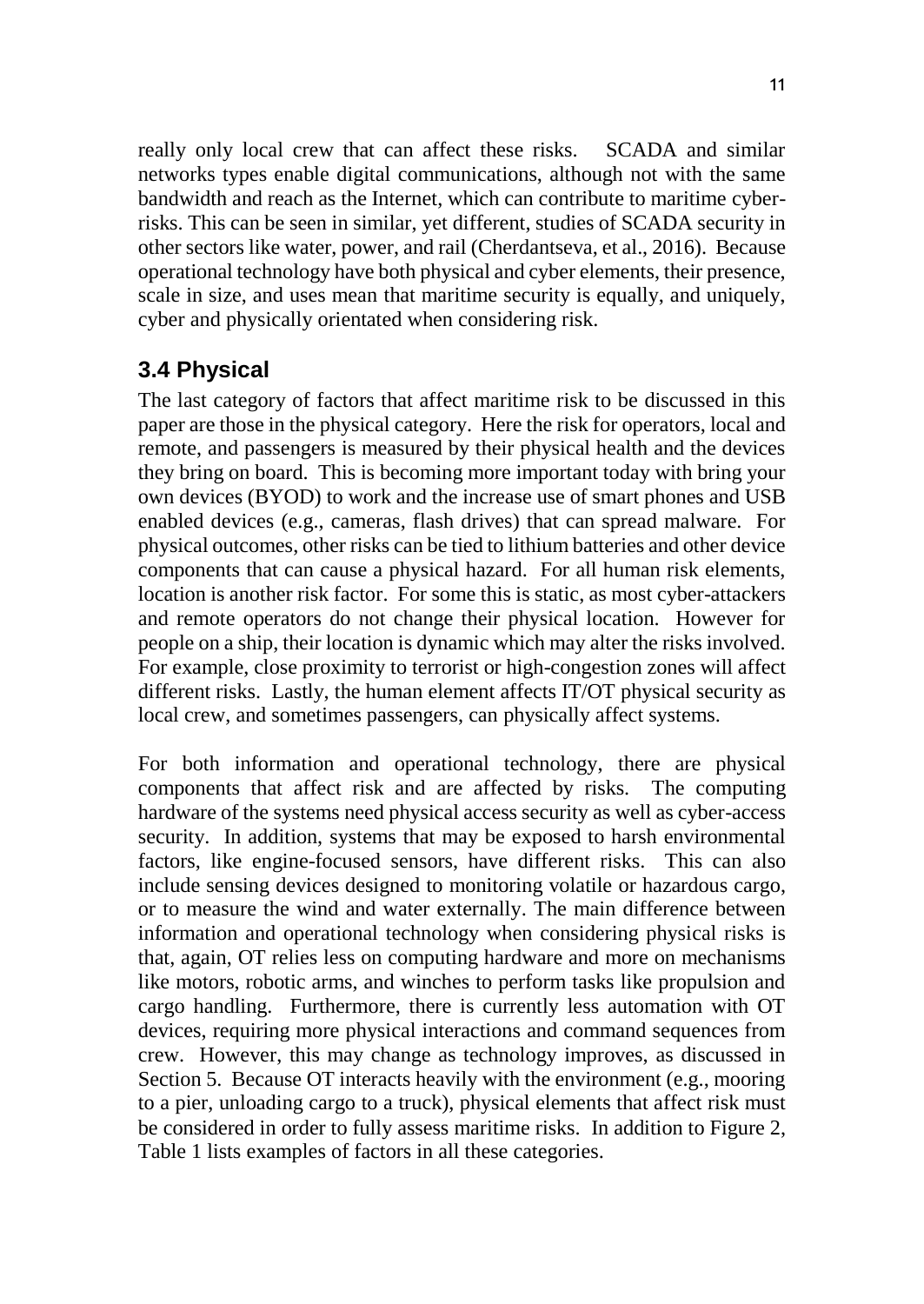really only local crew that can affect these risks. SCADA and similar networks types enable digital communications, although not with the same bandwidth and reach as the Internet, which can contribute to maritime cyberrisks. This can be seen in similar, yet different, studies of SCADA security in other sectors like water, power, and rail (Cherdantseva, et al., 2016). Because operational technology have both physical and cyber elements, their presence, scale in size, and uses mean that maritime security is equally, and uniquely, cyber and physically orientated when considering risk.

#### **3.4 Physical**

The last category of factors that affect maritime risk to be discussed in this paper are those in the physical category. Here the risk for operators, local and remote, and passengers is measured by their physical health and the devices they bring on board. This is becoming more important today with bring your own devices (BYOD) to work and the increase use of smart phones and USB enabled devices (e.g., cameras, flash drives) that can spread malware. For physical outcomes, other risks can be tied to lithium batteries and other device components that can cause a physical hazard. For all human risk elements, location is another risk factor. For some this is static, as most cyber-attackers and remote operators do not change their physical location. However for people on a ship, their location is dynamic which may alter the risks involved. For example, close proximity to terrorist or high-congestion zones will affect different risks. Lastly, the human element affects IT/OT physical security as local crew, and sometimes passengers, can physically affect systems.

For both information and operational technology, there are physical components that affect risk and are affected by risks. The computing hardware of the systems need physical access security as well as cyber-access security. In addition, systems that may be exposed to harsh environmental factors, like engine-focused sensors, have different risks. This can also include sensing devices designed to monitoring volatile or hazardous cargo, or to measure the wind and water externally. The main difference between information and operational technology when considering physical risks is that, again, OT relies less on computing hardware and more on mechanisms like motors, robotic arms, and winches to perform tasks like propulsion and cargo handling. Furthermore, there is currently less automation with OT devices, requiring more physical interactions and command sequences from crew. However, this may change as technology improves, as discussed in Section 5. Because OT interacts heavily with the environment (e.g., mooring to a pier, unloading cargo to a truck), physical elements that affect risk must be considered in order to fully assess maritime risks. In addition to Figure 2, Table 1 lists examples of factors in all these categories.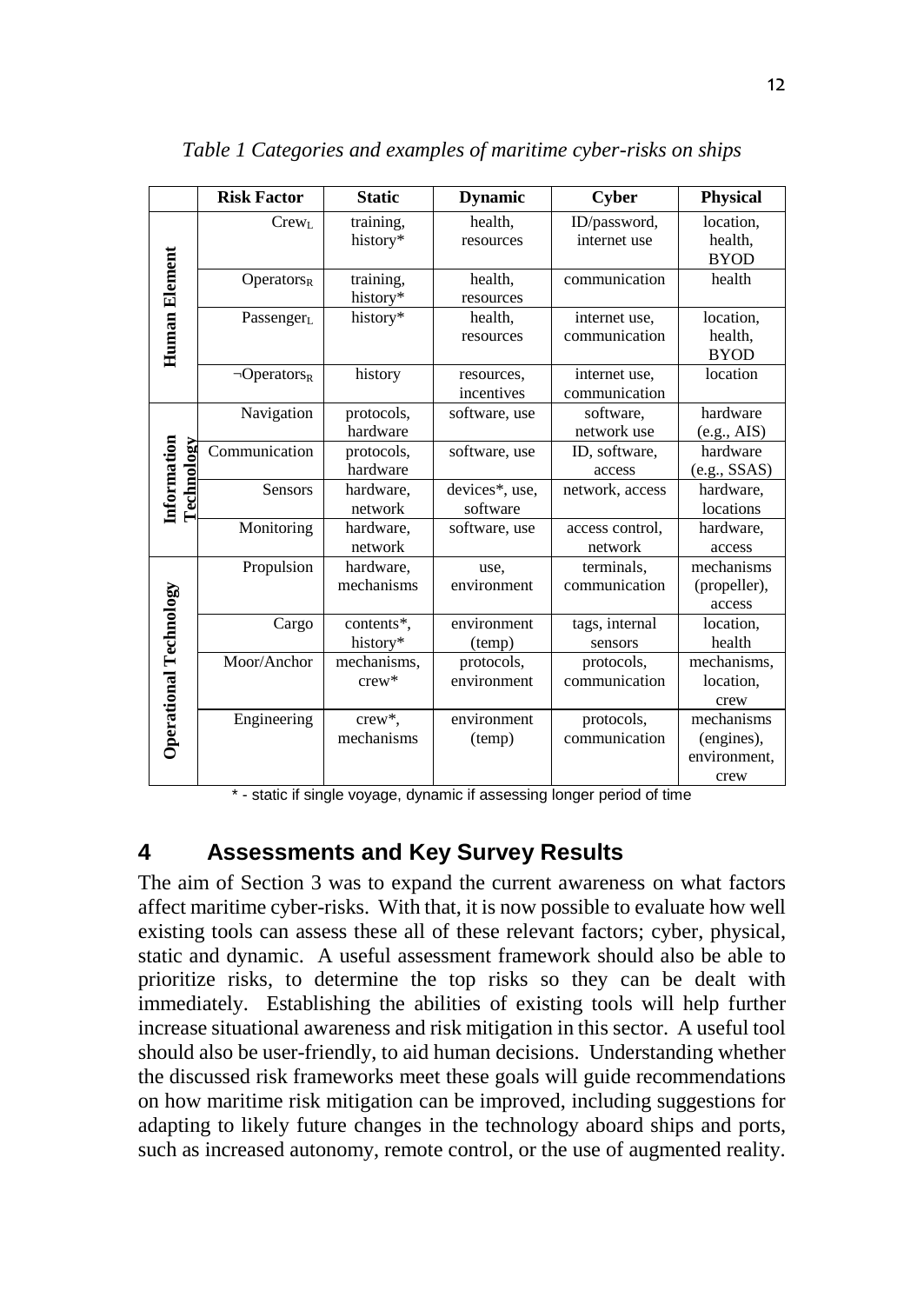|                           | <b>Risk Factor</b>            | <b>Static</b>              | <b>Dynamic</b>             | <b>Cyber</b>                   | Physical                                         |
|---------------------------|-------------------------------|----------------------------|----------------------------|--------------------------------|--------------------------------------------------|
| Human Element             | Crew <sub>L</sub>             | training,<br>history*      | health,<br>resources       | ID/password,<br>internet use   | location.<br>health,<br><b>BYOD</b>              |
|                           | Operators <sub>R</sub>        | training,<br>history*      | health,<br>resources       | communication                  | health                                           |
|                           | Passenger <sub>L</sub>        | history*                   | health.<br>resources       | internet use,<br>communication | location.<br>health,<br><b>BYOD</b>              |
|                           | $\neg$ Operators <sub>R</sub> | history                    | resources,<br>incentives   | internet use,<br>communication | location                                         |
|                           | Navigation                    | protocols,<br>hardware     | software, use              | software.<br>network use       | hardware<br>(e.g., AIS)                          |
| Information<br>Technology | Communication                 | protocols,<br>hardware     | software, use              | ID, software,<br>access        | hardware<br>(e.g., SSAS)                         |
|                           | <b>Sensors</b>                | hardware,<br>network       | devices*, use,<br>software | network, access                | hardware,<br>locations                           |
|                           | Monitoring                    | hardware,<br>network       | software, use              | access control.<br>network     | hardware.<br>access                              |
|                           | Propulsion                    | hardware,<br>mechanisms    | use,<br>environment        | terminals.<br>communication    | mechanisms<br>(propeller),<br>access             |
| Operational Technology    | Cargo                         | contents*.<br>history*     | environment<br>(temp)      | tags, internal<br>sensors      | location.<br>health                              |
|                           | Moor/Anchor                   | mechanisms,<br>$c$ rew $*$ | protocols,<br>environment  | protocols,<br>communication    | mechanisms,<br>location.<br>crew                 |
|                           | Engineering                   | crew*,<br>mechanisms       | environment<br>(temp)      | protocols,<br>communication    | mechanisms<br>(engines),<br>environment,<br>crew |

*Table 1 Categories and examples of maritime cyber-risks on ships*

\* - static if single voyage, dynamic if assessing longer period of time

#### **4 Assessments and Key Survey Results**

The aim of Section 3 was to expand the current awareness on what factors affect maritime cyber-risks. With that, it is now possible to evaluate how well existing tools can assess these all of these relevant factors; cyber, physical, static and dynamic. A useful assessment framework should also be able to prioritize risks, to determine the top risks so they can be dealt with immediately. Establishing the abilities of existing tools will help further increase situational awareness and risk mitigation in this sector. A useful tool should also be user-friendly, to aid human decisions. Understanding whether the discussed risk frameworks meet these goals will guide recommendations on how maritime risk mitigation can be improved, including suggestions for adapting to likely future changes in the technology aboard ships and ports, such as increased autonomy, remote control, or the use of augmented reality.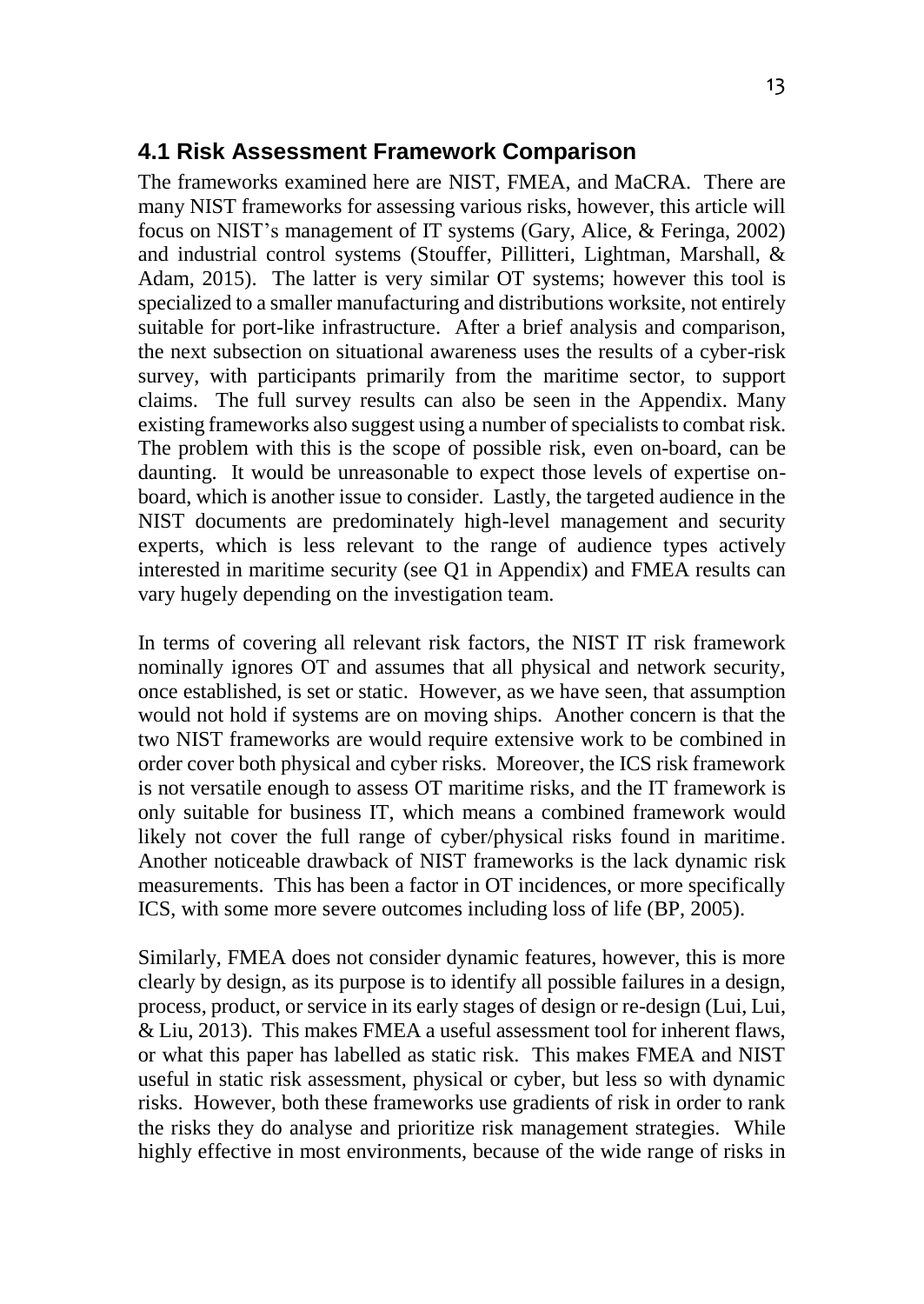The frameworks examined here are NIST, FMEA, and MaCRA. There are many NIST frameworks for assessing various risks, however, this article will focus on NIST's management of IT systems (Gary, Alice, & Feringa, 2002) and industrial control systems (Stouffer, Pillitteri, Lightman, Marshall, & Adam, 2015). The latter is very similar OT systems; however this tool is specialized to a smaller manufacturing and distributions worksite, not entirely suitable for port-like infrastructure. After a brief analysis and comparison, the next subsection on situational awareness uses the results of a cyber-risk survey, with participants primarily from the maritime sector, to support claims. The full survey results can also be seen in the Appendix. Many existing frameworks also suggest using a number of specialists to combat risk. The problem with this is the scope of possible risk, even on-board, can be daunting. It would be unreasonable to expect those levels of expertise onboard, which is another issue to consider. Lastly, the targeted audience in the NIST documents are predominately high-level management and security experts, which is less relevant to the range of audience types actively interested in maritime security (see Q1 in Appendix) and FMEA results can vary hugely depending on the investigation team.

In terms of covering all relevant risk factors, the NIST IT risk framework nominally ignores OT and assumes that all physical and network security, once established, is set or static. However, as we have seen, that assumption would not hold if systems are on moving ships. Another concern is that the two NIST frameworks are would require extensive work to be combined in order cover both physical and cyber risks. Moreover, the ICS risk framework is not versatile enough to assess OT maritime risks, and the IT framework is only suitable for business IT, which means a combined framework would likely not cover the full range of cyber/physical risks found in maritime. Another noticeable drawback of NIST frameworks is the lack dynamic risk measurements. This has been a factor in OT incidences, or more specifically ICS, with some more severe outcomes including loss of life (BP, 2005).

Similarly, FMEA does not consider dynamic features, however, this is more clearly by design, as its purpose is to identify all possible failures in a design, process, product, or service in its early stages of design or re-design (Lui, Lui, & Liu, 2013). This makes FMEA a useful assessment tool for inherent flaws, or what this paper has labelled as static risk. This makes FMEA and NIST useful in static risk assessment, physical or cyber, but less so with dynamic risks. However, both these frameworks use gradients of risk in order to rank the risks they do analyse and prioritize risk management strategies. While highly effective in most environments, because of the wide range of risks in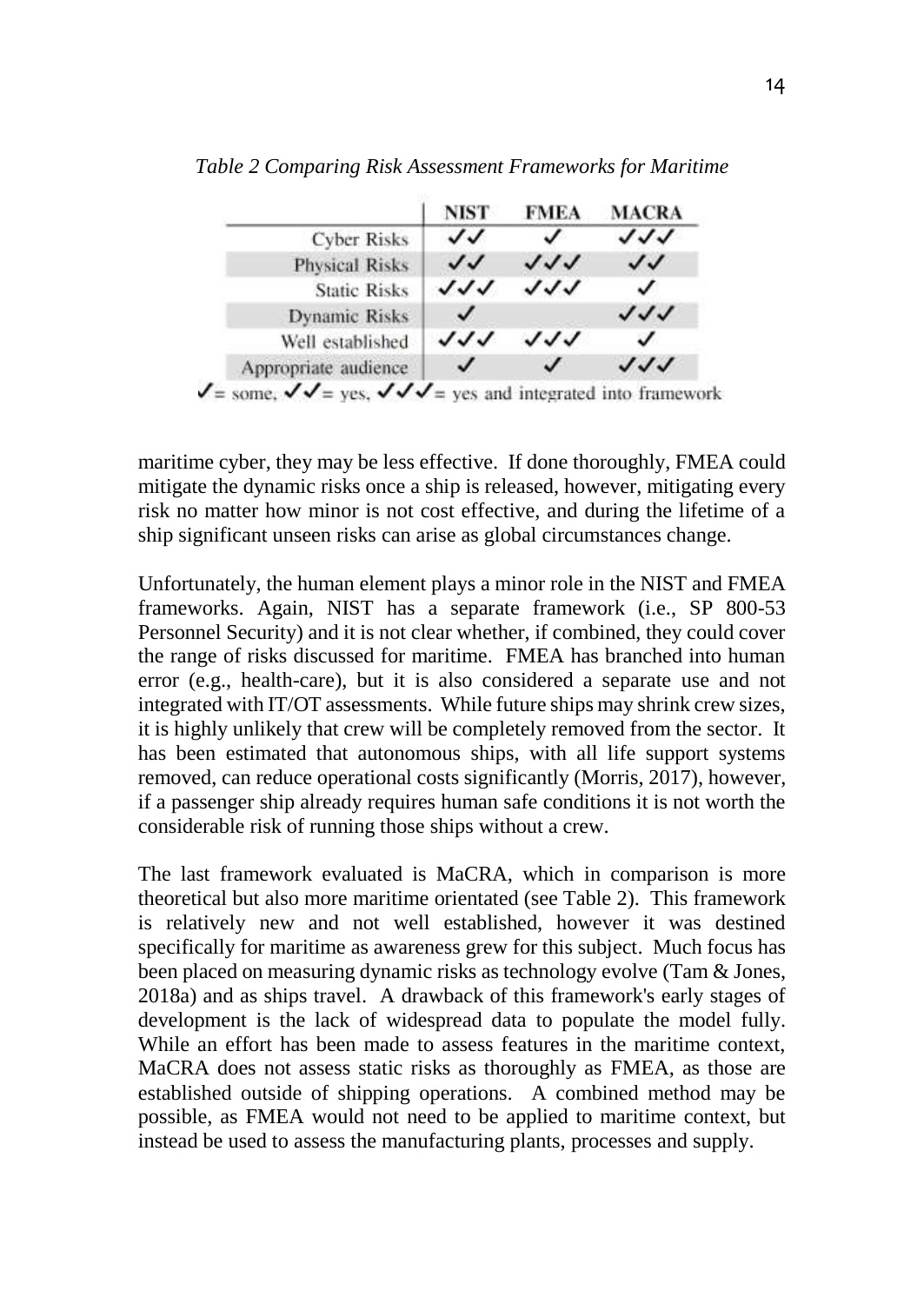

*Table 2 Comparing Risk Assessment Frameworks for Maritime*

maritime cyber, they may be less effective. If done thoroughly, FMEA could mitigate the dynamic risks once a ship is released, however, mitigating every risk no matter how minor is not cost effective, and during the lifetime of a ship significant unseen risks can arise as global circumstances change.

Unfortunately, the human element plays a minor role in the NIST and FMEA frameworks. Again, NIST has a separate framework (i.e., SP 800-53 Personnel Security) and it is not clear whether, if combined, they could cover the range of risks discussed for maritime. FMEA has branched into human error (e.g., health-care), but it is also considered a separate use and not integrated with IT/OT assessments. While future ships may shrink crew sizes, it is highly unlikely that crew will be completely removed from the sector. It has been estimated that autonomous ships, with all life support systems removed, can reduce operational costs significantly (Morris, 2017), however, if a passenger ship already requires human safe conditions it is not worth the considerable risk of running those ships without a crew.

The last framework evaluated is MaCRA, which in comparison is more theoretical but also more maritime orientated (see Table 2). This framework is relatively new and not well established, however it was destined specifically for maritime as awareness grew for this subject. Much focus has been placed on measuring dynamic risks as technology evolve (Tam & Jones, 2018a) and as ships travel. A drawback of this framework's early stages of development is the lack of widespread data to populate the model fully. While an effort has been made to assess features in the maritime context, MaCRA does not assess static risks as thoroughly as FMEA, as those are established outside of shipping operations. A combined method may be possible, as FMEA would not need to be applied to maritime context, but instead be used to assess the manufacturing plants, processes and supply.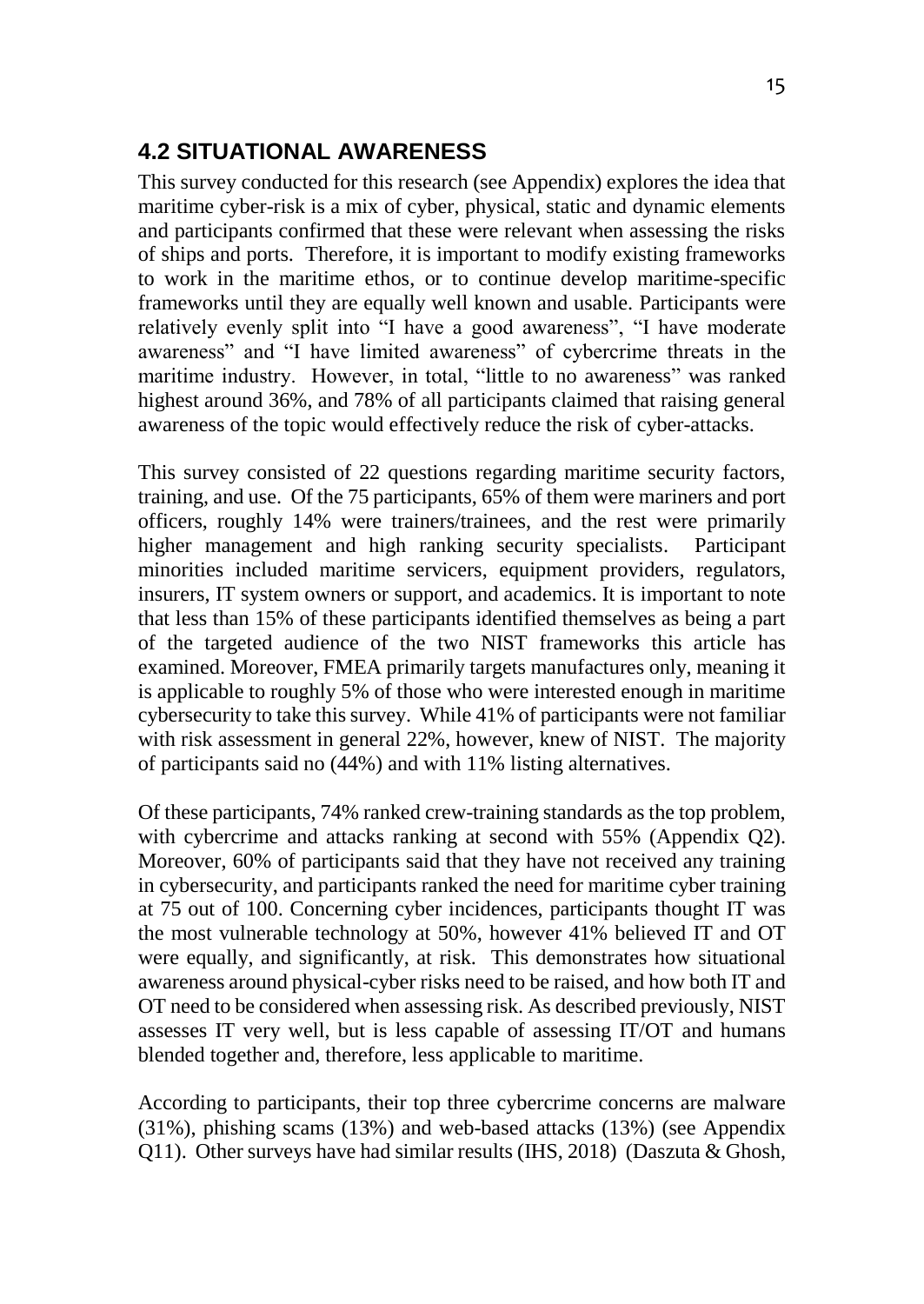# **4.2 SITUATIONAL AWARENESS**

This survey conducted for this research (see Appendix) explores the idea that maritime cyber-risk is a mix of cyber, physical, static and dynamic elements and participants confirmed that these were relevant when assessing the risks of ships and ports. Therefore, it is important to modify existing frameworks to work in the maritime ethos, or to continue develop maritime-specific frameworks until they are equally well known and usable. Participants were relatively evenly split into "I have a good awareness", "I have moderate awareness" and "I have limited awareness" of cybercrime threats in the maritime industry. However, in total, "little to no awareness" was ranked highest around 36%, and 78% of all participants claimed that raising general awareness of the topic would effectively reduce the risk of cyber-attacks.

This survey consisted of 22 questions regarding maritime security factors, training, and use. Of the 75 participants, 65% of them were mariners and port officers, roughly 14% were trainers/trainees, and the rest were primarily higher management and high ranking security specialists. Participant minorities included maritime servicers, equipment providers, regulators, insurers, IT system owners or support, and academics. It is important to note that less than 15% of these participants identified themselves as being a part of the targeted audience of the two NIST frameworks this article has examined. Moreover, FMEA primarily targets manufactures only, meaning it is applicable to roughly 5% of those who were interested enough in maritime cybersecurity to take this survey. While 41% of participants were not familiar with risk assessment in general 22%, however, knew of NIST. The majority of participants said no (44%) and with 11% listing alternatives.

Of these participants, 74% ranked crew-training standards as the top problem, with cybercrime and attacks ranking at second with 55% (Appendix O2). Moreover, 60% of participants said that they have not received any training in cybersecurity, and participants ranked the need for maritime cyber training at 75 out of 100. Concerning cyber incidences, participants thought IT was the most vulnerable technology at 50%, however 41% believed IT and OT were equally, and significantly, at risk. This demonstrates how situational awareness around physical-cyber risks need to be raised, and how both IT and OT need to be considered when assessing risk. As described previously, NIST assesses IT very well, but is less capable of assessing IT/OT and humans blended together and, therefore, less applicable to maritime.

According to participants, their top three cybercrime concerns are malware (31%), phishing scams (13%) and web-based attacks (13%) (see Appendix Q11). Other surveys have had similar results (IHS, 2018) (Daszuta & Ghosh,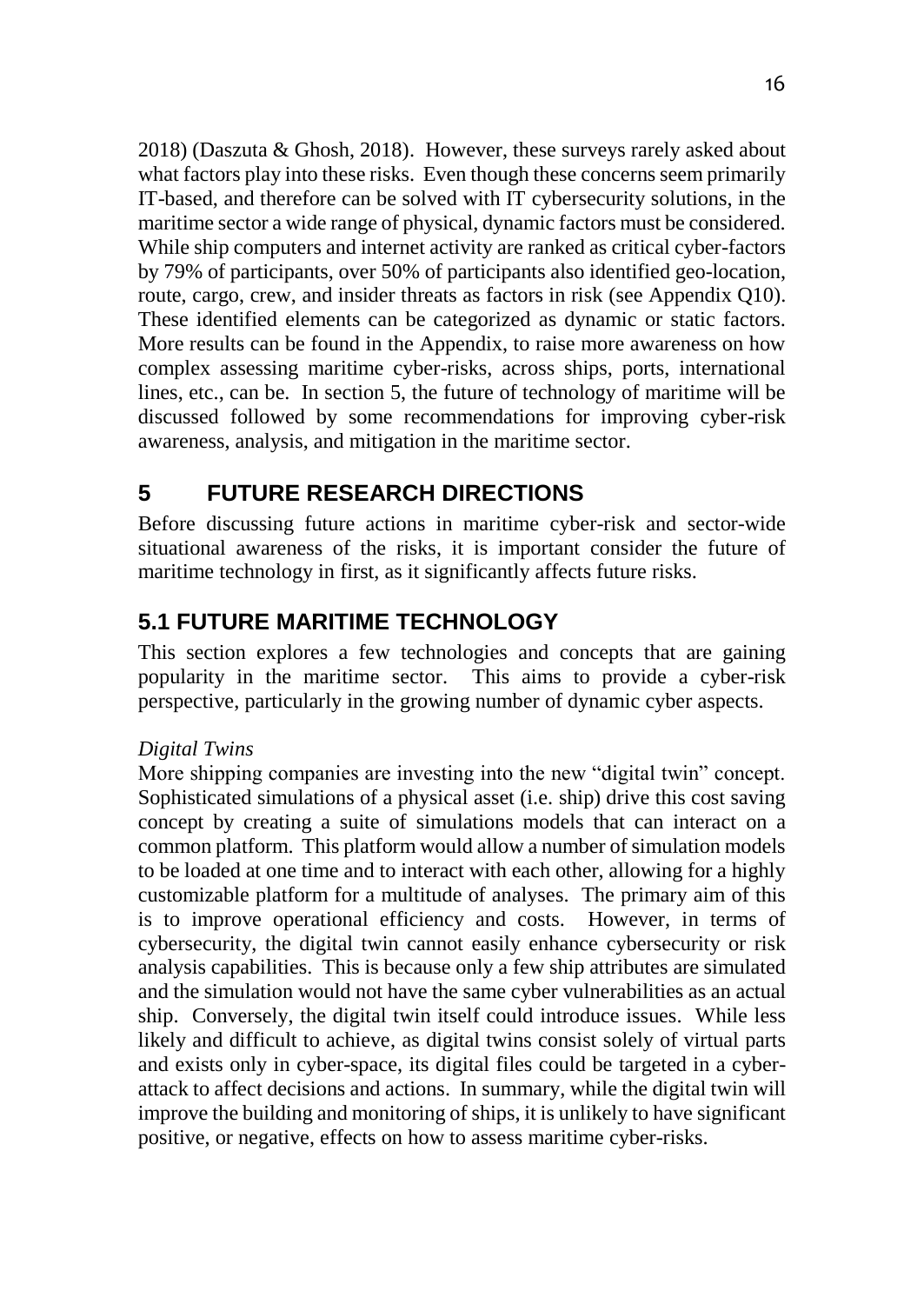2018) (Daszuta & Ghosh, 2018). However, these surveys rarely asked about what factors play into these risks. Even though these concerns seem primarily IT-based, and therefore can be solved with IT cybersecurity solutions, in the maritime sector a wide range of physical, dynamic factors must be considered. While ship computers and internet activity are ranked as critical cyber-factors by 79% of participants, over 50% of participants also identified geo-location, route, cargo, crew, and insider threats as factors in risk (see Appendix Q10). These identified elements can be categorized as dynamic or static factors. More results can be found in the Appendix, to raise more awareness on how complex assessing maritime cyber-risks, across ships, ports, international lines, etc., can be. In section 5, the future of technology of maritime will be discussed followed by some recommendations for improving cyber-risk awareness, analysis, and mitigation in the maritime sector.

# **5 FUTURE RESEARCH DIRECTIONS**

Before discussing future actions in maritime cyber-risk and sector-wide situational awareness of the risks, it is important consider the future of maritime technology in first, as it significantly affects future risks.

# **5.1 FUTURE MARITIME TECHNOLOGY**

This section explores a few technologies and concepts that are gaining popularity in the maritime sector. This aims to provide a cyber-risk perspective, particularly in the growing number of dynamic cyber aspects.

#### *Digital Twins*

More shipping companies are investing into the new "digital twin" concept. Sophisticated simulations of a physical asset (i.e. ship) drive this cost saving concept by creating a suite of simulations models that can interact on a common platform. This platform would allow a number of simulation models to be loaded at one time and to interact with each other, allowing for a highly customizable platform for a multitude of analyses. The primary aim of this is to improve operational efficiency and costs. However, in terms of cybersecurity, the digital twin cannot easily enhance cybersecurity or risk analysis capabilities. This is because only a few ship attributes are simulated and the simulation would not have the same cyber vulnerabilities as an actual ship. Conversely, the digital twin itself could introduce issues. While less likely and difficult to achieve, as digital twins consist solely of virtual parts and exists only in cyber-space, its digital files could be targeted in a cyberattack to affect decisions and actions. In summary, while the digital twin will improve the building and monitoring of ships, it is unlikely to have significant positive, or negative, effects on how to assess maritime cyber-risks.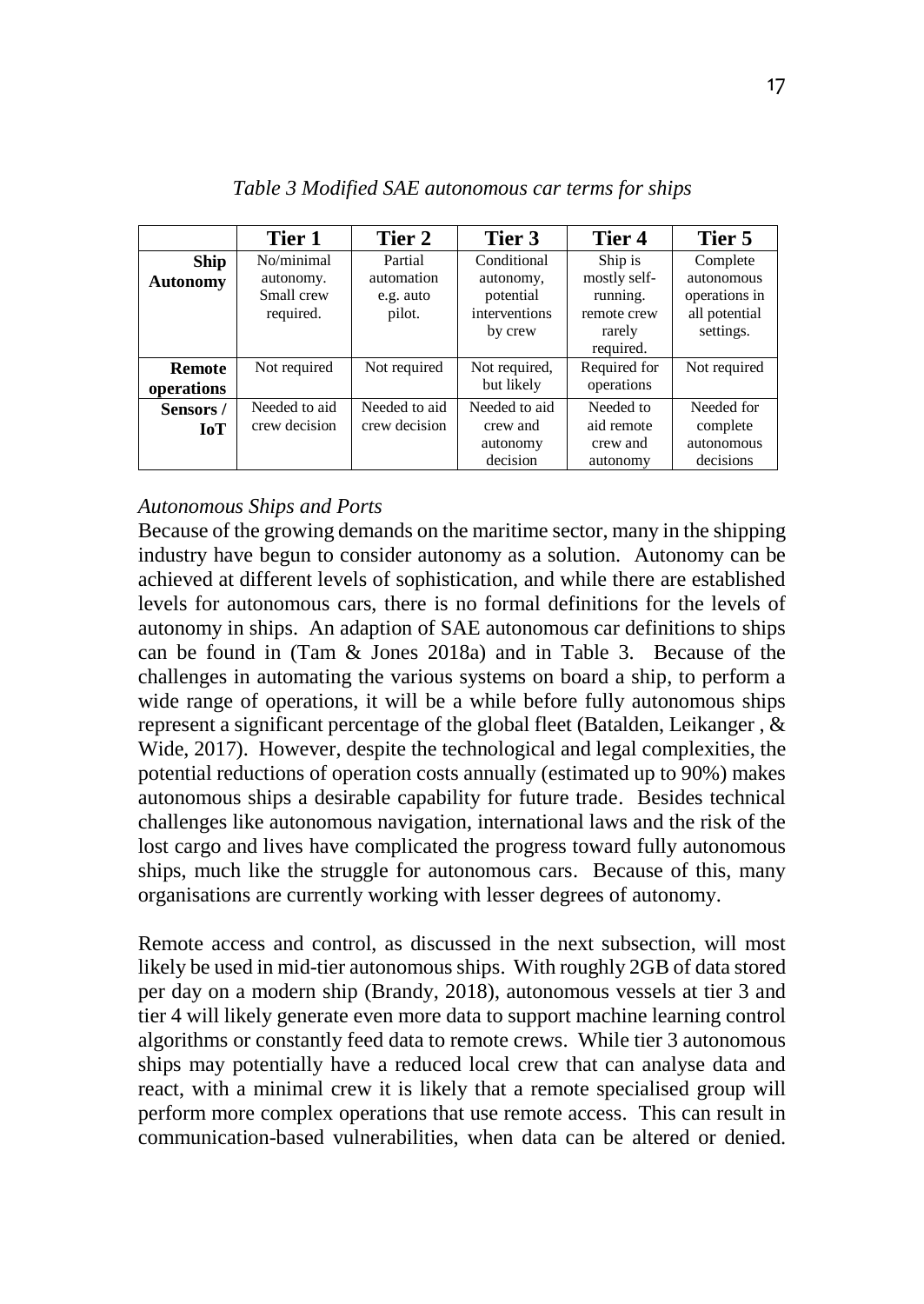|                                | Tier 1                                             | Tier 2                                       | Tier 3                                                            | Tier 4                                                                    | Tier 5                                                                |
|--------------------------------|----------------------------------------------------|----------------------------------------------|-------------------------------------------------------------------|---------------------------------------------------------------------------|-----------------------------------------------------------------------|
| <b>Ship</b><br><b>Autonomy</b> | No/minimal<br>autonomy.<br>Small crew<br>required. | Partial<br>automation<br>e.g. auto<br>pilot. | Conditional<br>autonomy,<br>potential<br>interventions<br>by crew | Ship is<br>mostly self-<br>running.<br>remote crew<br>rarely<br>required. | Complete<br>autonomous<br>operations in<br>all potential<br>settings. |
| <b>Remote</b><br>operations    | Not required                                       | Not required                                 | Not required,<br>but likely                                       | Required for<br>operations                                                | Not required                                                          |
| Sensors/<br><b>IoT</b>         | Needed to aid<br>crew decision                     | Needed to aid<br>crew decision               | Needed to aid<br>crew and<br>autonomy<br>decision                 | Needed to<br>aid remote<br>crew and<br>autonomy                           | Needed for<br>complete<br>autonomous<br>decisions                     |

*Table 3 Modified SAE autonomous car terms for ships*

#### *Autonomous Ships and Ports*

Because of the growing demands on the maritime sector, many in the shipping industry have begun to consider autonomy as a solution. Autonomy can be achieved at different levels of sophistication, and while there are established levels for autonomous cars, there is no formal definitions for the levels of autonomy in ships. An adaption of SAE autonomous car definitions to ships can be found in (Tam & Jones 2018a) and in Table 3. Because of the challenges in automating the various systems on board a ship, to perform a wide range of operations, it will be a while before fully autonomous ships represent a significant percentage of the global fleet (Batalden, Leikanger , & Wide, 2017). However, despite the technological and legal complexities, the potential reductions of operation costs annually (estimated up to 90%) makes autonomous ships a desirable capability for future trade. Besides technical challenges like autonomous navigation, international laws and the risk of the lost cargo and lives have complicated the progress toward fully autonomous ships, much like the struggle for autonomous cars. Because of this, many organisations are currently working with lesser degrees of autonomy.

Remote access and control, as discussed in the next subsection, will most likely be used in mid-tier autonomous ships. With roughly 2GB of data stored per day on a modern ship (Brandy, 2018), autonomous vessels at tier 3 and tier 4 will likely generate even more data to support machine learning control algorithms or constantly feed data to remote crews. While tier 3 autonomous ships may potentially have a reduced local crew that can analyse data and react, with a minimal crew it is likely that a remote specialised group will perform more complex operations that use remote access. This can result in communication-based vulnerabilities, when data can be altered or denied.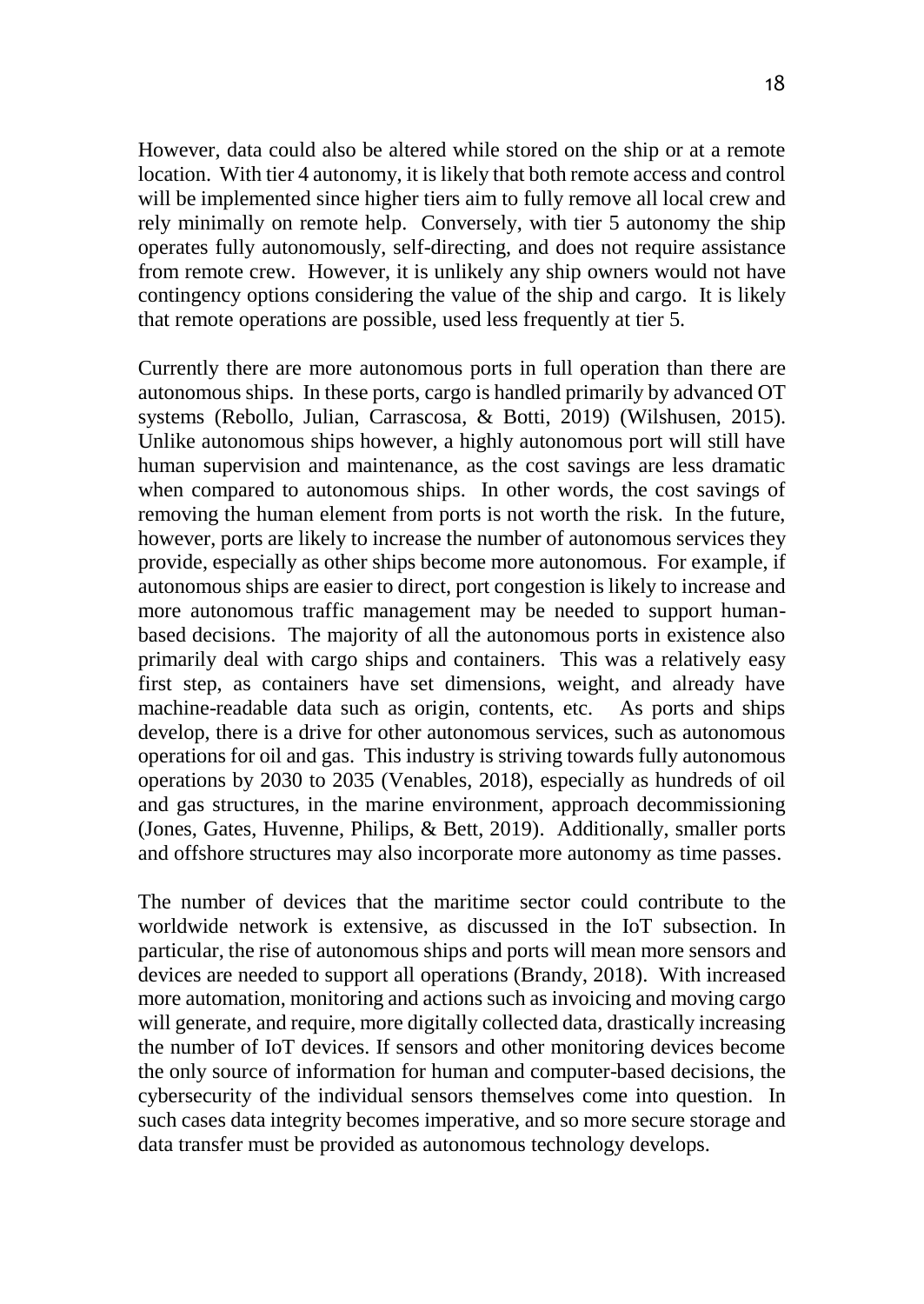However, data could also be altered while stored on the ship or at a remote location. With tier 4 autonomy, it is likely that both remote access and control will be implemented since higher tiers aim to fully remove all local crew and rely minimally on remote help. Conversely, with tier 5 autonomy the ship operates fully autonomously, self-directing, and does not require assistance from remote crew. However, it is unlikely any ship owners would not have contingency options considering the value of the ship and cargo. It is likely that remote operations are possible, used less frequently at tier 5.

Currently there are more autonomous ports in full operation than there are autonomous ships. In these ports, cargo is handled primarily by advanced OT systems (Rebollo, Julian, Carrascosa, & Botti, 2019) (Wilshusen, 2015). Unlike autonomous ships however, a highly autonomous port will still have human supervision and maintenance, as the cost savings are less dramatic when compared to autonomous ships. In other words, the cost savings of removing the human element from ports is not worth the risk. In the future, however, ports are likely to increase the number of autonomous services they provide, especially as other ships become more autonomous. For example, if autonomous ships are easier to direct, port congestion is likely to increase and more autonomous traffic management may be needed to support humanbased decisions. The majority of all the autonomous ports in existence also primarily deal with cargo ships and containers. This was a relatively easy first step, as containers have set dimensions, weight, and already have machine-readable data such as origin, contents, etc. As ports and ships develop, there is a drive for other autonomous services, such as autonomous operations for oil and gas. This industry is striving towards fully autonomous operations by 2030 to 2035 (Venables, 2018), especially as hundreds of oil and gas structures, in the marine environment, approach decommissioning (Jones, Gates, Huvenne, Philips, & Bett, 2019). Additionally, smaller ports and offshore structures may also incorporate more autonomy as time passes.

The number of devices that the maritime sector could contribute to the worldwide network is extensive, as discussed in the IoT subsection. In particular, the rise of autonomous ships and ports will mean more sensors and devices are needed to support all operations (Brandy, 2018). With increased more automation, monitoring and actions such as invoicing and moving cargo will generate, and require, more digitally collected data, drastically increasing the number of IoT devices. If sensors and other monitoring devices become the only source of information for human and computer-based decisions, the cybersecurity of the individual sensors themselves come into question. In such cases data integrity becomes imperative, and so more secure storage and data transfer must be provided as autonomous technology develops.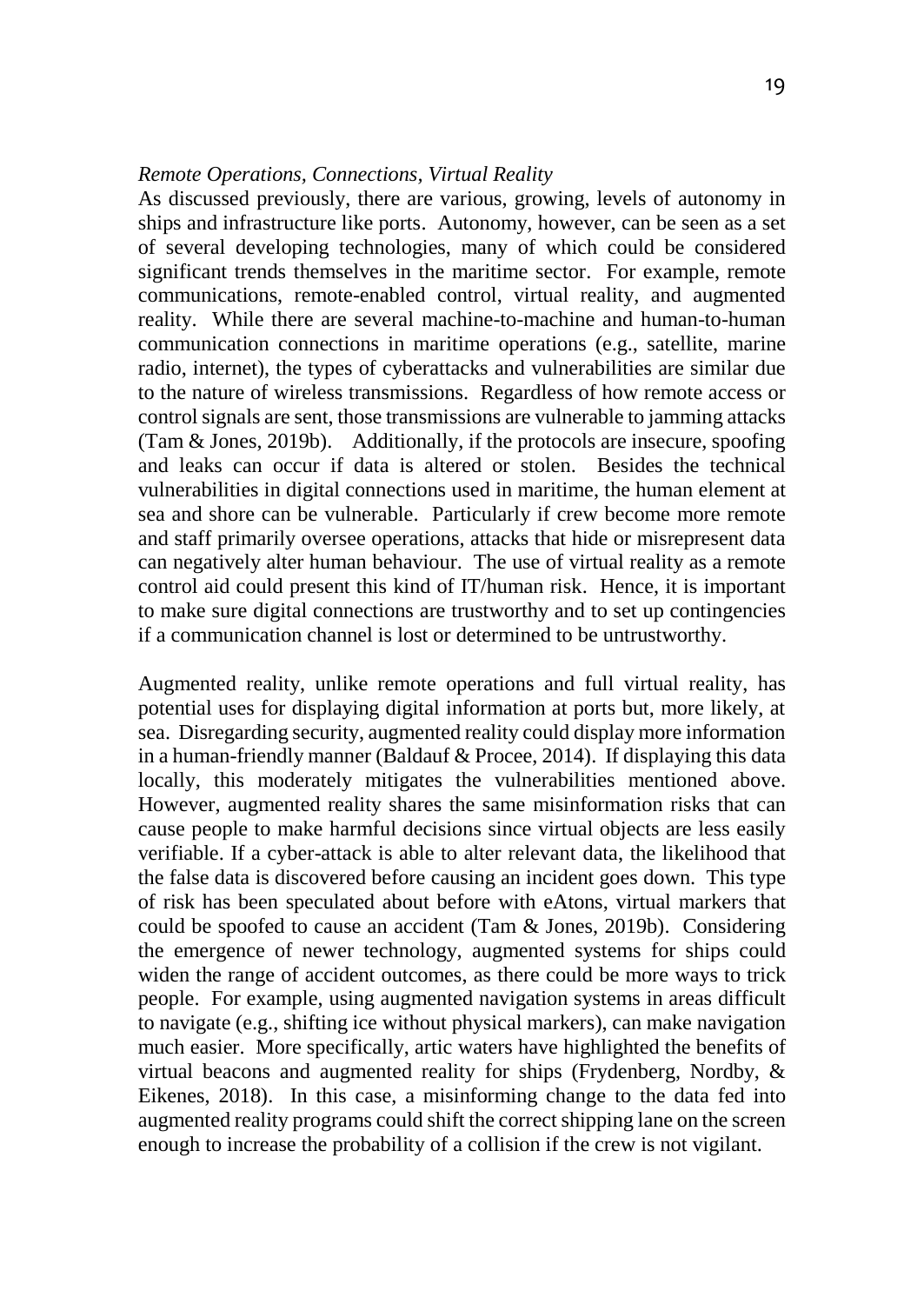#### *Remote Operations, Connections, Virtual Reality*

As discussed previously, there are various, growing, levels of autonomy in ships and infrastructure like ports. Autonomy, however, can be seen as a set of several developing technologies, many of which could be considered significant trends themselves in the maritime sector. For example, remote communications, remote-enabled control, virtual reality, and augmented reality. While there are several machine-to-machine and human-to-human communication connections in maritime operations (e.g., satellite, marine radio, internet), the types of cyberattacks and vulnerabilities are similar due to the nature of wireless transmissions. Regardless of how remote access or control signals are sent, those transmissions are vulnerable to jamming attacks (Tam & Jones, 2019b). Additionally, if the protocols are insecure, spoofing and leaks can occur if data is altered or stolen. Besides the technical vulnerabilities in digital connections used in maritime, the human element at sea and shore can be vulnerable. Particularly if crew become more remote and staff primarily oversee operations, attacks that hide or misrepresent data can negatively alter human behaviour. The use of virtual reality as a remote control aid could present this kind of IT/human risk. Hence, it is important to make sure digital connections are trustworthy and to set up contingencies if a communication channel is lost or determined to be untrustworthy.

Augmented reality, unlike remote operations and full virtual reality, has potential uses for displaying digital information at ports but, more likely, at sea. Disregarding security, augmented reality could display more information in a human-friendly manner (Baldauf & Procee, 2014). If displaying this data locally, this moderately mitigates the vulnerabilities mentioned above. However, augmented reality shares the same misinformation risks that can cause people to make harmful decisions since virtual objects are less easily verifiable. If a cyber-attack is able to alter relevant data, the likelihood that the false data is discovered before causing an incident goes down. This type of risk has been speculated about before with eAtons, virtual markers that could be spoofed to cause an accident (Tam & Jones, 2019b). Considering the emergence of newer technology, augmented systems for ships could widen the range of accident outcomes, as there could be more ways to trick people. For example, using augmented navigation systems in areas difficult to navigate (e.g., shifting ice without physical markers), can make navigation much easier. More specifically, artic waters have highlighted the benefits of virtual beacons and augmented reality for ships (Frydenberg, Nordby, & Eikenes, 2018). In this case, a misinforming change to the data fed into augmented reality programs could shift the correct shipping lane on the screen enough to increase the probability of a collision if the crew is not vigilant.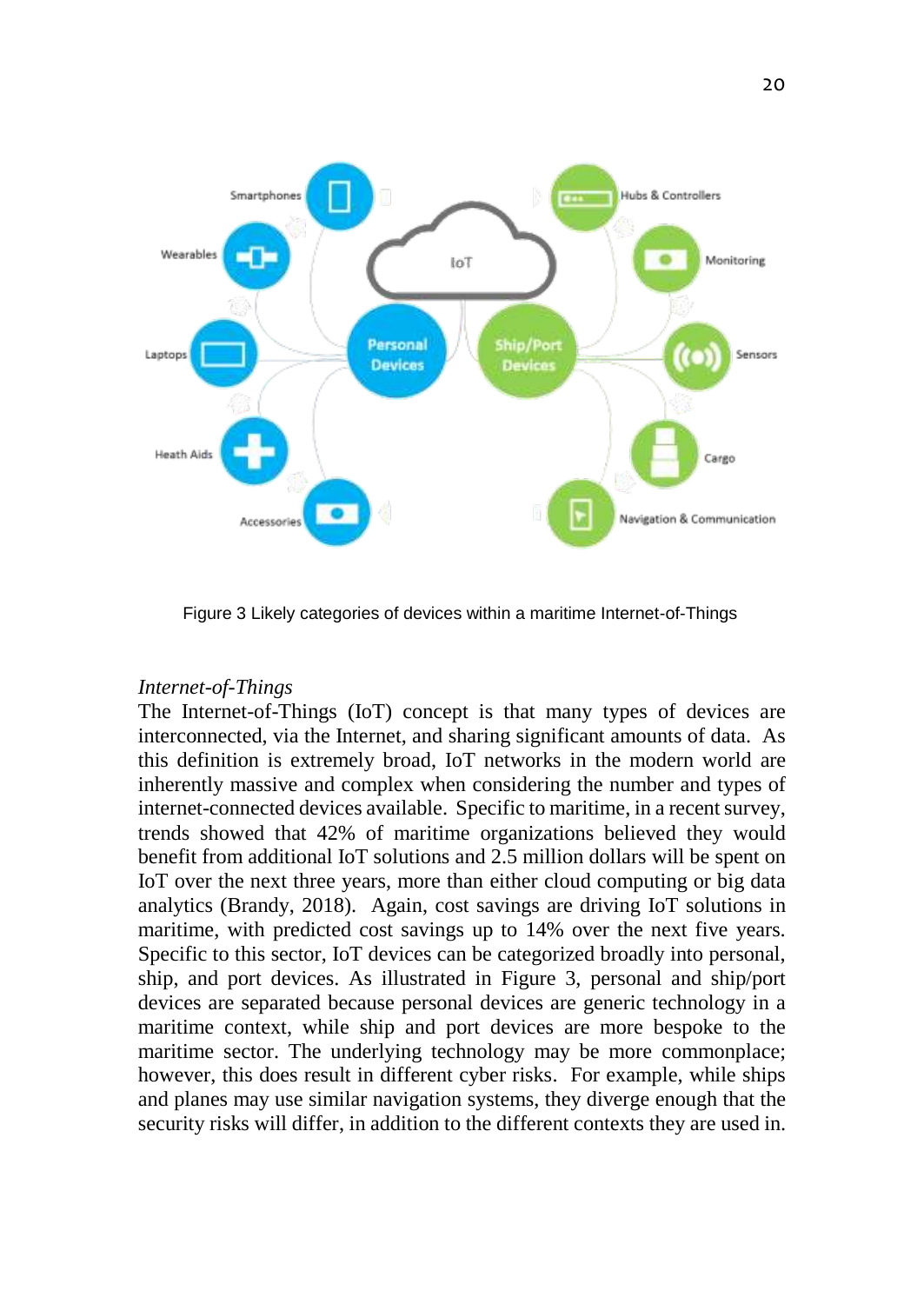

Figure 3 Likely categories of devices within a maritime Internet-of-Things

#### *Internet-of-Things*

The Internet-of-Things (IoT) concept is that many types of devices are interconnected, via the Internet, and sharing significant amounts of data. As this definition is extremely broad, IoT networks in the modern world are inherently massive and complex when considering the number and types of internet-connected devices available. Specific to maritime, in a recent survey, trends showed that 42% of maritime organizations believed they would benefit from additional IoT solutions and 2.5 million dollars will be spent on IoT over the next three years, more than either cloud computing or big data analytics (Brandy, 2018). Again, cost savings are driving IoT solutions in maritime, with predicted cost savings up to 14% over the next five years. Specific to this sector, IoT devices can be categorized broadly into personal, ship, and port devices. As illustrated in Figure 3, personal and ship/port devices are separated because personal devices are generic technology in a maritime context, while ship and port devices are more bespoke to the maritime sector. The underlying technology may be more commonplace; however, this does result in different cyber risks. For example, while ships and planes may use similar navigation systems, they diverge enough that the security risks will differ, in addition to the different contexts they are used in.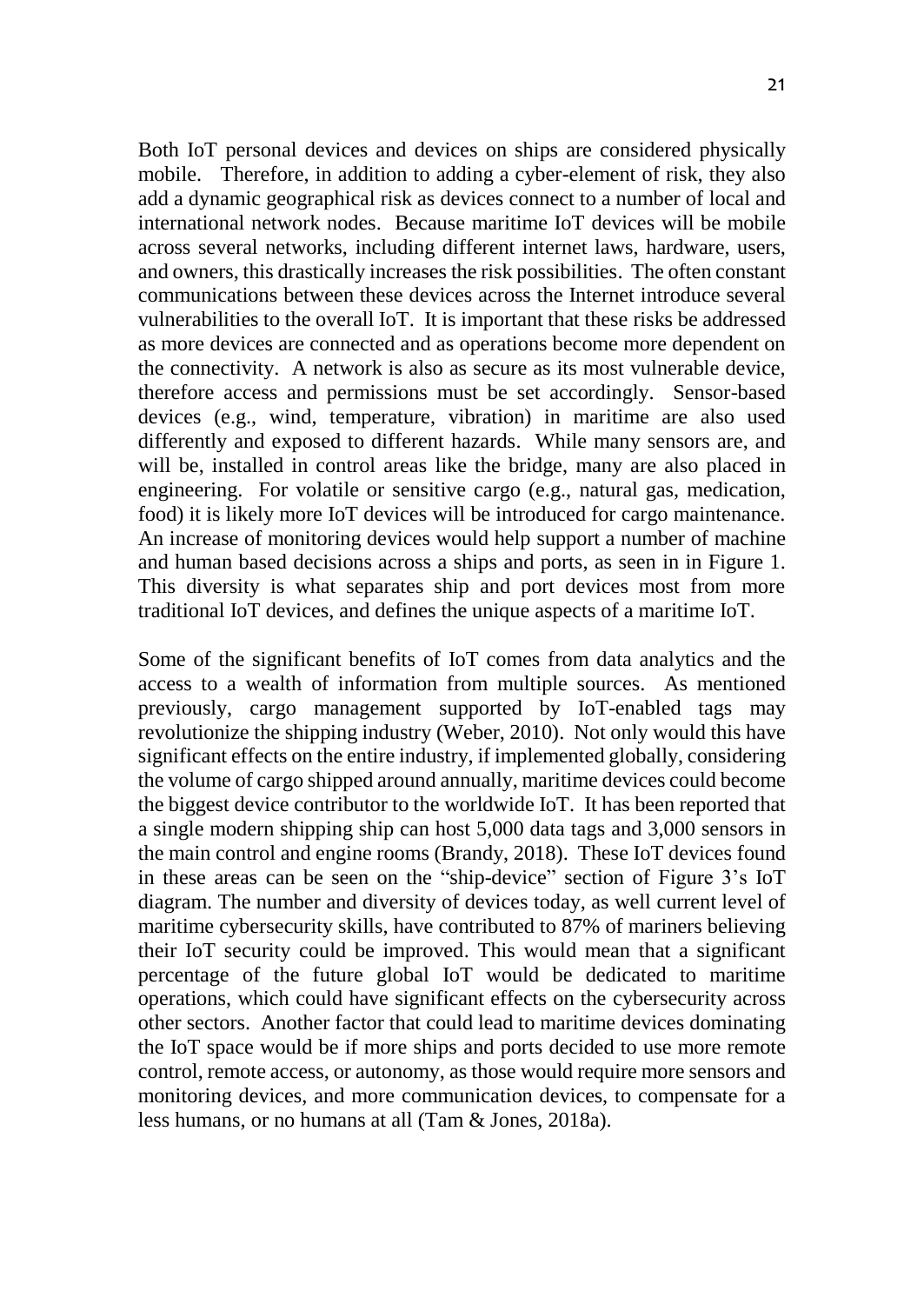Both IoT personal devices and devices on ships are considered physically mobile. Therefore, in addition to adding a cyber-element of risk, they also add a dynamic geographical risk as devices connect to a number of local and international network nodes. Because maritime IoT devices will be mobile across several networks, including different internet laws, hardware, users, and owners, this drastically increases the risk possibilities. The often constant communications between these devices across the Internet introduce several vulnerabilities to the overall IoT. It is important that these risks be addressed as more devices are connected and as operations become more dependent on the connectivity. A network is also as secure as its most vulnerable device, therefore access and permissions must be set accordingly. Sensor-based devices (e.g., wind, temperature, vibration) in maritime are also used differently and exposed to different hazards. While many sensors are, and will be, installed in control areas like the bridge, many are also placed in engineering. For volatile or sensitive cargo (e.g., natural gas, medication, food) it is likely more IoT devices will be introduced for cargo maintenance. An increase of monitoring devices would help support a number of machine and human based decisions across a ships and ports, as seen in in Figure 1. This diversity is what separates ship and port devices most from more traditional IoT devices, and defines the unique aspects of a maritime IoT.

Some of the significant benefits of IoT comes from data analytics and the access to a wealth of information from multiple sources. As mentioned previously, cargo management supported by IoT-enabled tags may revolutionize the shipping industry (Weber, 2010). Not only would this have significant effects on the entire industry, if implemented globally, considering the volume of cargo shipped around annually, maritime devices could become the biggest device contributor to the worldwide IoT. It has been reported that a single modern shipping ship can host 5,000 data tags and 3,000 sensors in the main control and engine rooms (Brandy, 2018). These IoT devices found in these areas can be seen on the "ship-device" section of Figure 3's IoT diagram. The number and diversity of devices today, as well current level of maritime cybersecurity skills, have contributed to 87% of mariners believing their IoT security could be improved. This would mean that a significant percentage of the future global IoT would be dedicated to maritime operations, which could have significant effects on the cybersecurity across other sectors. Another factor that could lead to maritime devices dominating the IoT space would be if more ships and ports decided to use more remote control, remote access, or autonomy, as those would require more sensors and monitoring devices, and more communication devices, to compensate for a less humans, or no humans at all (Tam & Jones, 2018a).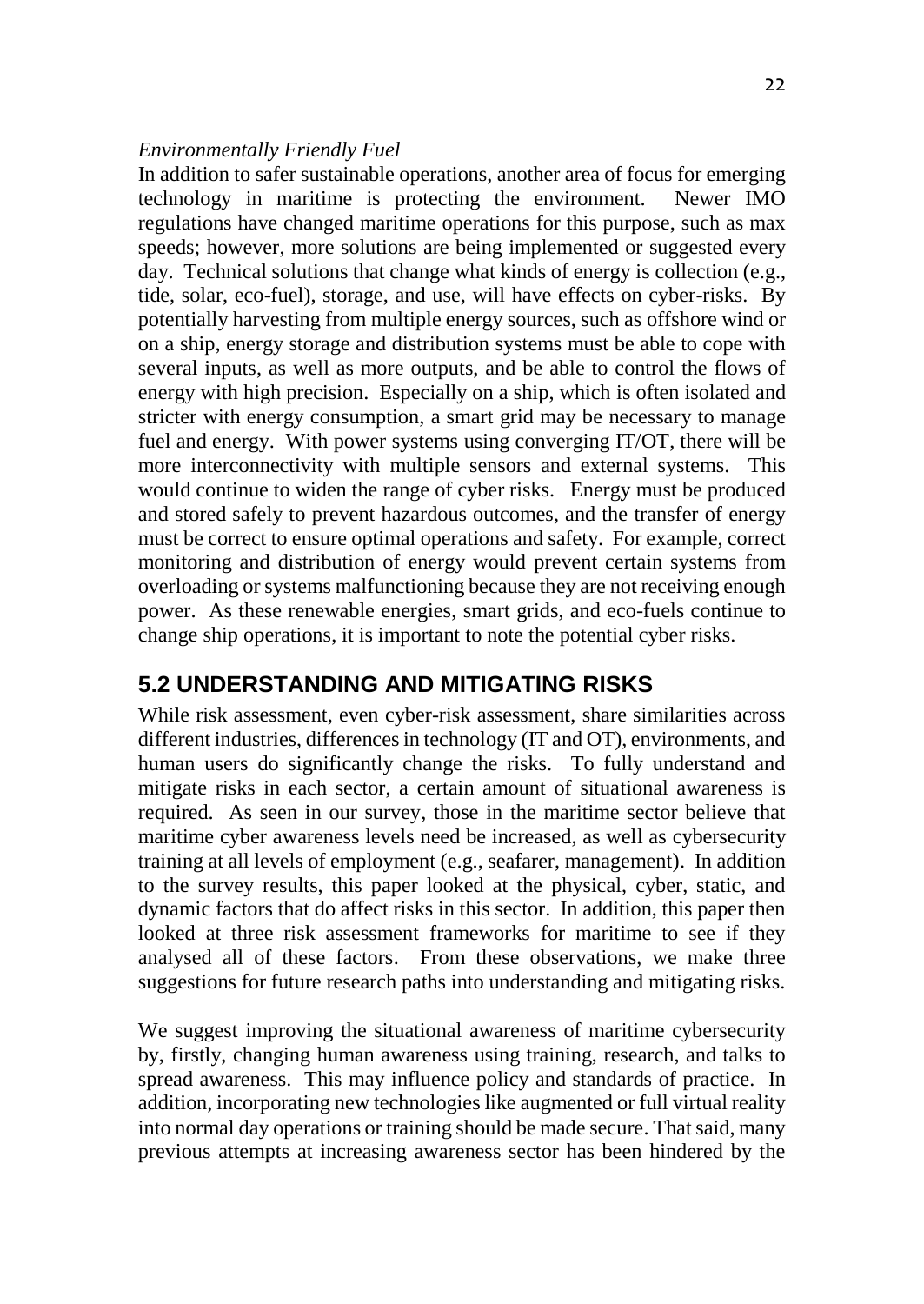#### *Environmentally Friendly Fuel*

In addition to safer sustainable operations, another area of focus for emerging technology in maritime is protecting the environment. Newer IMO regulations have changed maritime operations for this purpose, such as max speeds; however, more solutions are being implemented or suggested every day. Technical solutions that change what kinds of energy is collection (e.g., tide, solar, eco-fuel), storage, and use, will have effects on cyber-risks. By potentially harvesting from multiple energy sources, such as offshore wind or on a ship, energy storage and distribution systems must be able to cope with several inputs, as well as more outputs, and be able to control the flows of energy with high precision. Especially on a ship, which is often isolated and stricter with energy consumption, a smart grid may be necessary to manage fuel and energy. With power systems using converging IT/OT, there will be more interconnectivity with multiple sensors and external systems. This would continue to widen the range of cyber risks. Energy must be produced and stored safely to prevent hazardous outcomes, and the transfer of energy must be correct to ensure optimal operations and safety. For example, correct monitoring and distribution of energy would prevent certain systems from overloading or systems malfunctioning because they are not receiving enough power. As these renewable energies, smart grids, and eco-fuels continue to change ship operations, it is important to note the potential cyber risks.

## **5.2 UNDERSTANDING AND MITIGATING RISKS**

While risk assessment, even cyber-risk assessment, share similarities across different industries, differences in technology (IT and OT), environments, and human users do significantly change the risks. To fully understand and mitigate risks in each sector, a certain amount of situational awareness is required. As seen in our survey, those in the maritime sector believe that maritime cyber awareness levels need be increased, as well as cybersecurity training at all levels of employment (e.g., seafarer, management). In addition to the survey results, this paper looked at the physical, cyber, static, and dynamic factors that do affect risks in this sector. In addition, this paper then looked at three risk assessment frameworks for maritime to see if they analysed all of these factors. From these observations, we make three suggestions for future research paths into understanding and mitigating risks.

We suggest improving the situational awareness of maritime cybersecurity by, firstly, changing human awareness using training, research, and talks to spread awareness. This may influence policy and standards of practice. In addition, incorporating new technologies like augmented or full virtual reality into normal day operations or training should be made secure. That said, many previous attempts at increasing awareness sector has been hindered by the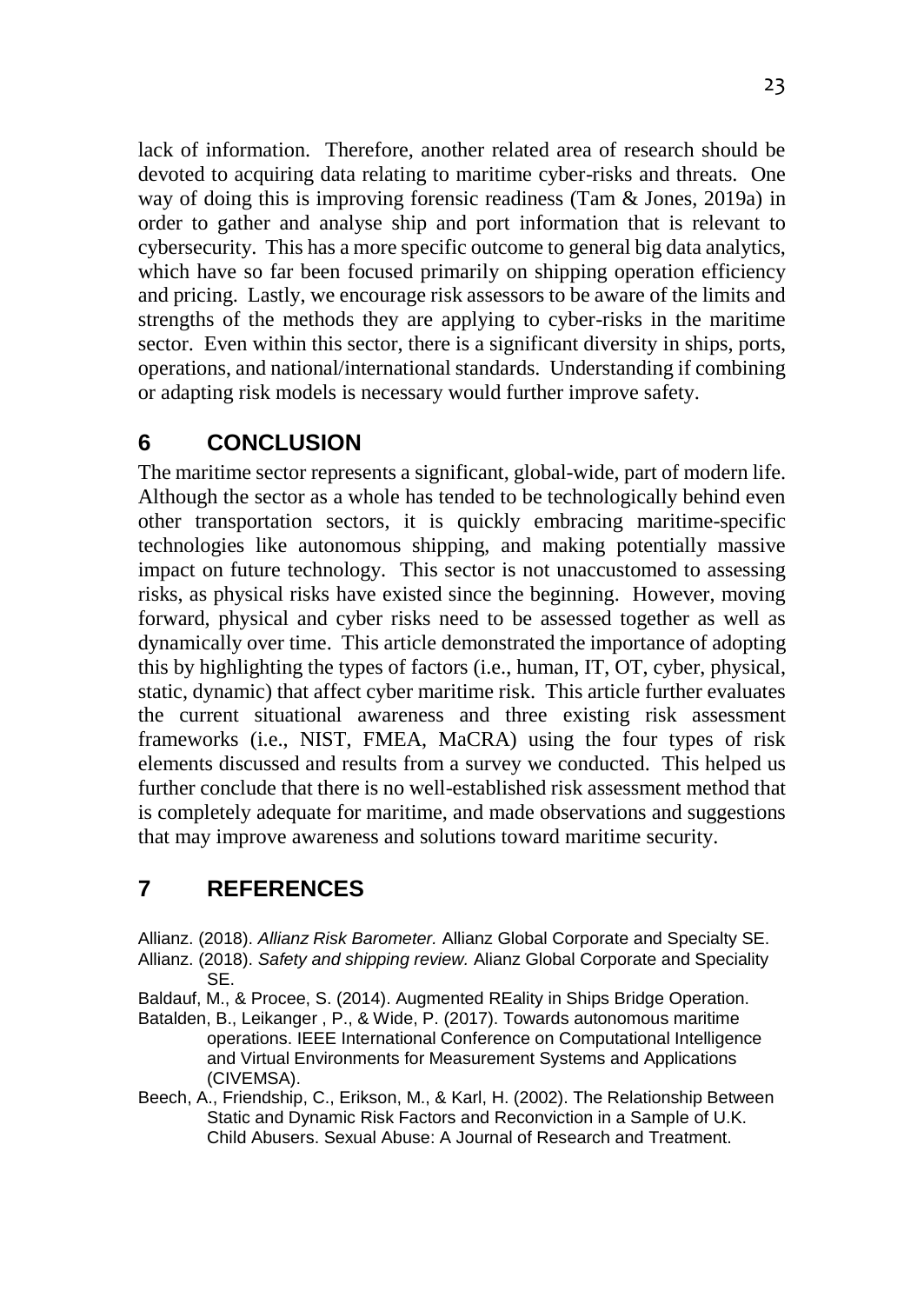lack of information. Therefore, another related area of research should be devoted to acquiring data relating to maritime cyber-risks and threats. One way of doing this is improving forensic readiness (Tam & Jones, 2019a) in order to gather and analyse ship and port information that is relevant to cybersecurity. This has a more specific outcome to general big data analytics, which have so far been focused primarily on shipping operation efficiency and pricing. Lastly, we encourage risk assessors to be aware of the limits and strengths of the methods they are applying to cyber-risks in the maritime sector. Even within this sector, there is a significant diversity in ships, ports, operations, and national/international standards. Understanding if combining or adapting risk models is necessary would further improve safety.

## **6 CONCLUSION**

The maritime sector represents a significant, global-wide, part of modern life. Although the sector as a whole has tended to be technologically behind even other transportation sectors, it is quickly embracing maritime-specific technologies like autonomous shipping, and making potentially massive impact on future technology. This sector is not unaccustomed to assessing risks, as physical risks have existed since the beginning. However, moving forward, physical and cyber risks need to be assessed together as well as dynamically over time. This article demonstrated the importance of adopting this by highlighting the types of factors (i.e., human, IT, OT, cyber, physical, static, dynamic) that affect cyber maritime risk. This article further evaluates the current situational awareness and three existing risk assessment frameworks (i.e., NIST, FMEA, MaCRA) using the four types of risk elements discussed and results from a survey we conducted. This helped us further conclude that there is no well-established risk assessment method that is completely adequate for maritime, and made observations and suggestions that may improve awareness and solutions toward maritime security.

# **7 REFERENCES**

Allianz. (2018). *Allianz Risk Barometer.* Allianz Global Corporate and Specialty SE. Allianz. (2018). *Safety and shipping review.* Alianz Global Corporate and Speciality SE.

Baldauf, M., & Procee, S. (2014). Augmented REality in Ships Bridge Operation.

- Batalden, B., Leikanger , P., & Wide, P. (2017). Towards autonomous maritime operations. IEEE International Conference on Computational Intelligence and Virtual Environments for Measurement Systems and Applications (CIVEMSA).
- Beech, A., Friendship, C., Erikson, M., & Karl, H. (2002). The Relationship Between Static and Dynamic Risk Factors and Reconviction in a Sample of U.K. Child Abusers. Sexual Abuse: A Journal of Research and Treatment.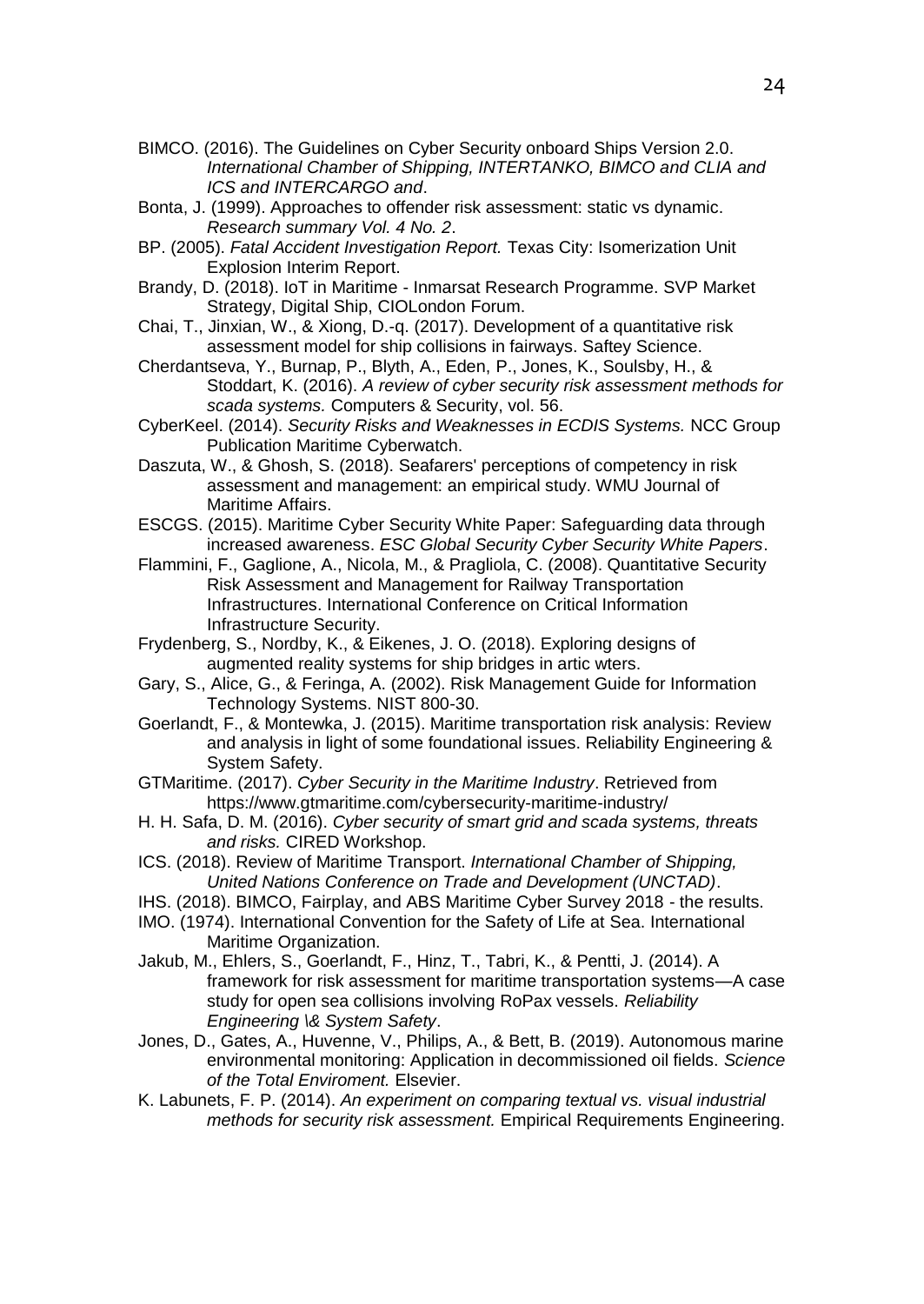- BIMCO. (2016). The Guidelines on Cyber Security onboard Ships Version 2.0. *International Chamber of Shipping, INTERTANKO, BIMCO and CLIA and ICS and INTERCARGO and*.
- Bonta, J. (1999). Approaches to offender risk assessment: static vs dynamic. *Research summary Vol. 4 No. 2*.
- BP. (2005). *Fatal Accident Investigation Report.* Texas City: Isomerization Unit Explosion Interim Report.
- Brandy, D. (2018). IoT in Maritime Inmarsat Research Programme. SVP Market Strategy, Digital Ship, CIOLondon Forum.
- Chai, T., Jinxian, W., & Xiong, D.-q. (2017). Development of a quantitative risk assessment model for ship collisions in fairways. Saftey Science.
- Cherdantseva, Y., Burnap, P., Blyth, A., Eden, P., Jones, K., Soulsby, H., & Stoddart, K. (2016). *A review of cyber security risk assessment methods for scada systems.* Computers & Security, vol. 56.
- CyberKeel. (2014). *Security Risks and Weaknesses in ECDIS Systems.* NCC Group Publication Maritime Cyberwatch.
- Daszuta, W., & Ghosh, S. (2018). Seafarers' perceptions of competency in risk assessment and management: an empirical study. WMU Journal of Maritime Affairs.
- ESCGS. (2015). Maritime Cyber Security White Paper: Safeguarding data through increased awareness. *ESC Global Security Cyber Security White Papers*.
- Flammini, F., Gaglione, A., Nicola, M., & Pragliola, C. (2008). Quantitative Security Risk Assessment and Management for Railway Transportation Infrastructures. International Conference on Critical Information Infrastructure Security.
- Frydenberg, S., Nordby, K., & Eikenes, J. O. (2018). Exploring designs of augmented reality systems for ship bridges in artic wters.
- Gary, S., Alice, G., & Feringa, A. (2002). Risk Management Guide for Information Technology Systems. NIST 800-30.
- Goerlandt, F., & Montewka, J. (2015). Maritime transportation risk analysis: Review and analysis in light of some foundational issues. Reliability Engineering & System Safety.
- GTMaritime. (2017). *Cyber Security in the Maritime Industry*. Retrieved from https://www.gtmaritime.com/cybersecurity-maritime-industry/
- H. H. Safa, D. M. (2016). *Cyber security of smart grid and scada systems, threats and risks.* CIRED Workshop.
- ICS. (2018). Review of Maritime Transport. *International Chamber of Shipping, United Nations Conference on Trade and Development (UNCTAD)*.
- IHS. (2018). BIMCO, Fairplay, and ABS Maritime Cyber Survey 2018 the results.
- IMO. (1974). International Convention for the Safety of Life at Sea. International Maritime Organization.
- Jakub, M., Ehlers, S., Goerlandt, F., Hinz, T., Tabri, K., & Pentti, J. (2014). A framework for risk assessment for maritime transportation systems—A case study for open sea collisions involving RoPax vessels. *Reliability Engineering \& System Safety*.
- Jones, D., Gates, A., Huvenne, V., Philips, A., & Bett, B. (2019). Autonomous marine environmental monitoring: Application in decommissioned oil fields. *Science of the Total Enviroment.* Elsevier.
- K. Labunets, F. P. (2014). *An experiment on comparing textual vs. visual industrial methods for security risk assessment.* Empirical Requirements Engineering.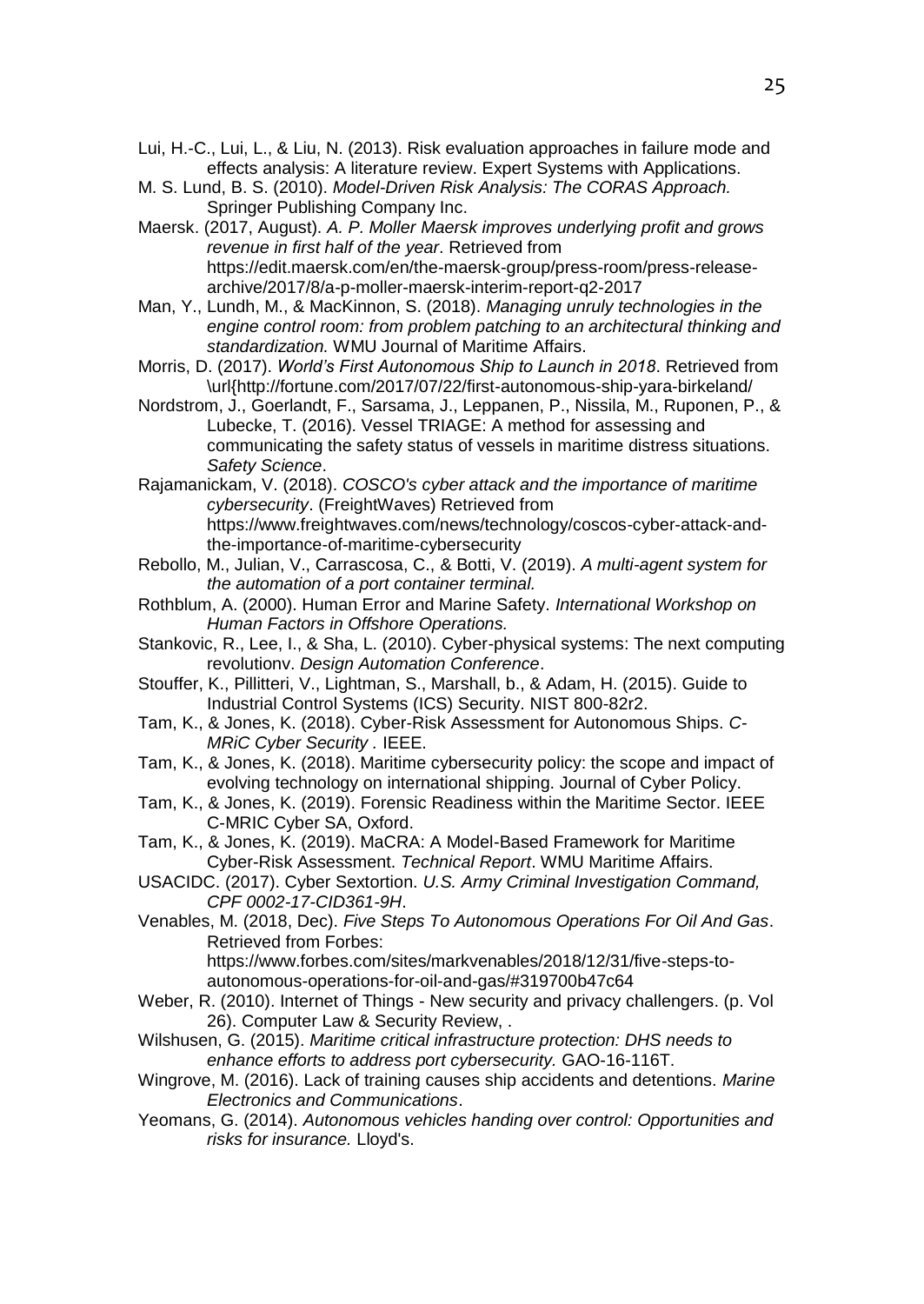- Lui, H.-C., Lui, L., & Liu, N. (2013). Risk evaluation approaches in failure mode and effects analysis: A literature review. Expert Systems with Applications.
- M. S. Lund, B. S. (2010). *Model-Driven Risk Analysis: The CORAS Approach.* Springer Publishing Company Inc.
- Maersk. (2017, August). *A. P. Moller Maersk improves underlying profit and grows revenue in first half of the year*. Retrieved from https://edit.maersk.com/en/the-maersk-group/press-room/press-releasearchive/2017/8/a-p-moller-maersk-interim-report-q2-2017
- Man, Y., Lundh, M., & MacKinnon, S. (2018). *Managing unruly technologies in the engine control room: from problem patching to an architectural thinking and standardization.* WMU Journal of Maritime Affairs.
- Morris, D. (2017). *World's First Autonomous Ship to Launch in 2018*. Retrieved from \url{http://fortune.com/2017/07/22/first-autonomous-ship-yara-birkeland/
- Nordstrom, J., Goerlandt, F., Sarsama, J., Leppanen, P., Nissila, M., Ruponen, P., & Lubecke, T. (2016). Vessel TRIAGE: A method for assessing and communicating the safety status of vessels in maritime distress situations. *Safety Science*.
- Rajamanickam, V. (2018). *COSCO's cyber attack and the importance of maritime cybersecurity*. (FreightWaves) Retrieved from https://www.freightwaves.com/news/technology/coscos-cyber-attack-andthe-importance-of-maritime-cybersecurity
- Rebollo, M., Julian, V., Carrascosa, C., & Botti, V. (2019). *A multi-agent system for the automation of a port container terminal.*
- Rothblum, A. (2000). Human Error and Marine Safety. *International Workshop on Human Factors in Offshore Operations.*
- Stankovic, R., Lee, I., & Sha, L. (2010). Cyber-physical systems: The next computing revolutionv. *Design Automation Conference*.
- Stouffer, K., Pillitteri, V., Lightman, S., Marshall, b., & Adam, H. (2015). Guide to Industrial Control Systems (ICS) Security. NIST 800-82r2.
- Tam, K., & Jones, K. (2018). Cyber-Risk Assessment for Autonomous Ships. *C-MRiC Cyber Security .* IEEE.
- Tam, K., & Jones, K. (2018). Maritime cybersecurity policy: the scope and impact of evolving technology on international shipping. Journal of Cyber Policy.
- Tam, K., & Jones, K. (2019). Forensic Readiness within the Maritime Sector. IEEE C-MRIC Cyber SA, Oxford.
- Tam, K., & Jones, K. (2019). MaCRA: A Model-Based Framework for Maritime Cyber-Risk Assessment. *Technical Report*. WMU Maritime Affairs.
- USACIDC. (2017). Cyber Sextortion. *U.S. Army Criminal Investigation Command, CPF 0002-17-CID361-9H*.
- Venables, M. (2018, Dec). *Five Steps To Autonomous Operations For Oil And Gas*. Retrieved from Forbes:

https://www.forbes.com/sites/markvenables/2018/12/31/five-steps-toautonomous-operations-for-oil-and-gas/#319700b47c64

- Weber, R. (2010). Internet of Things New security and privacy challengers. (p. Vol 26). Computer Law & Security Review, .
- Wilshusen, G. (2015). *Maritime critical infrastructure protection: DHS needs to enhance efforts to address port cybersecurity.* GAO-16-116T.
- Wingrove, M. (2016). Lack of training causes ship accidents and detentions. *Marine Electronics and Communications*.
- Yeomans, G. (2014). *Autonomous vehicles handing over control: Opportunities and risks for insurance.* Lloyd's.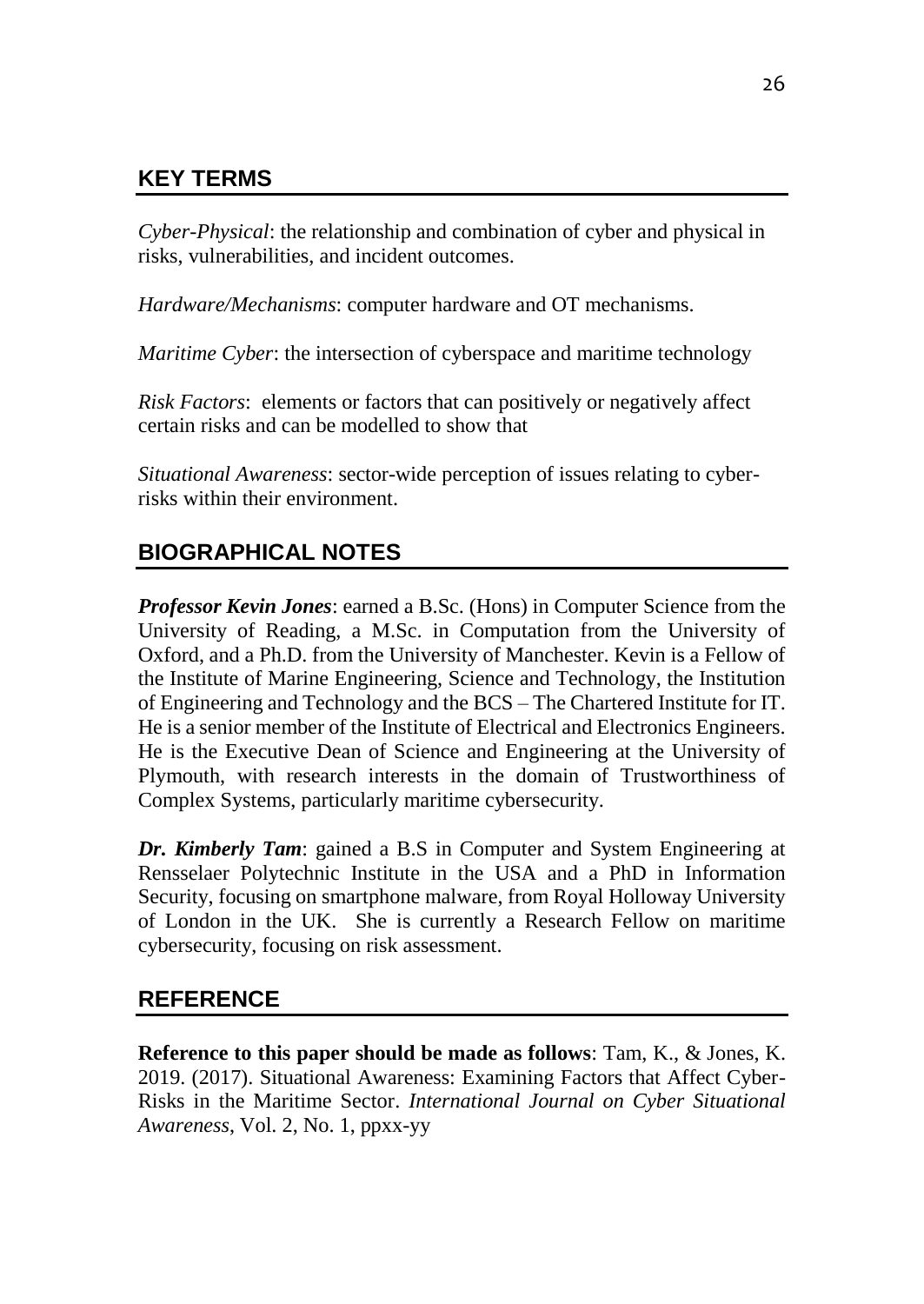## **KEY TERMS**

*Cyber-Physical*: the relationship and combination of cyber and physical in risks, vulnerabilities, and incident outcomes.

*Hardware/Mechanisms*: computer hardware and OT mechanisms.

*Maritime Cyber*: the intersection of cyberspace and maritime technology

*Risk Factors*: elements or factors that can positively or negatively affect certain risks and can be modelled to show that

*Situational Awareness*: sector-wide perception of issues relating to cyberrisks within their environment.

# **BIOGRAPHICAL NOTES**

*Professor Kevin Jones*: earned a B.Sc. (Hons) in Computer Science from the University of Reading, a M.Sc. in Computation from the University of Oxford, and a Ph.D. from the University of Manchester. Kevin is a Fellow of the Institute of Marine Engineering, Science and Technology, the Institution of Engineering and Technology and the BCS – The Chartered Institute for IT. He is a senior member of the Institute of Electrical and Electronics Engineers. He is the Executive Dean of Science and Engineering at the University of Plymouth, with research interests in the domain of Trustworthiness of Complex Systems, particularly maritime cybersecurity.

*Dr. Kimberly Tam*: gained a B.S in Computer and System Engineering at Rensselaer Polytechnic Institute in the USA and a PhD in Information Security, focusing on smartphone malware, from Royal Holloway University of London in the UK. She is currently a Research Fellow on maritime cybersecurity, focusing on risk assessment.

## **REFERENCE**

**Reference to this paper should be made as follows**: Tam, K., & Jones, K. 2019. (2017). Situational Awareness: Examining Factors that Affect Cyber-Risks in the Maritime Sector. *International Journal on Cyber Situational Awareness*, Vol. 2, No. 1, ppxx-yy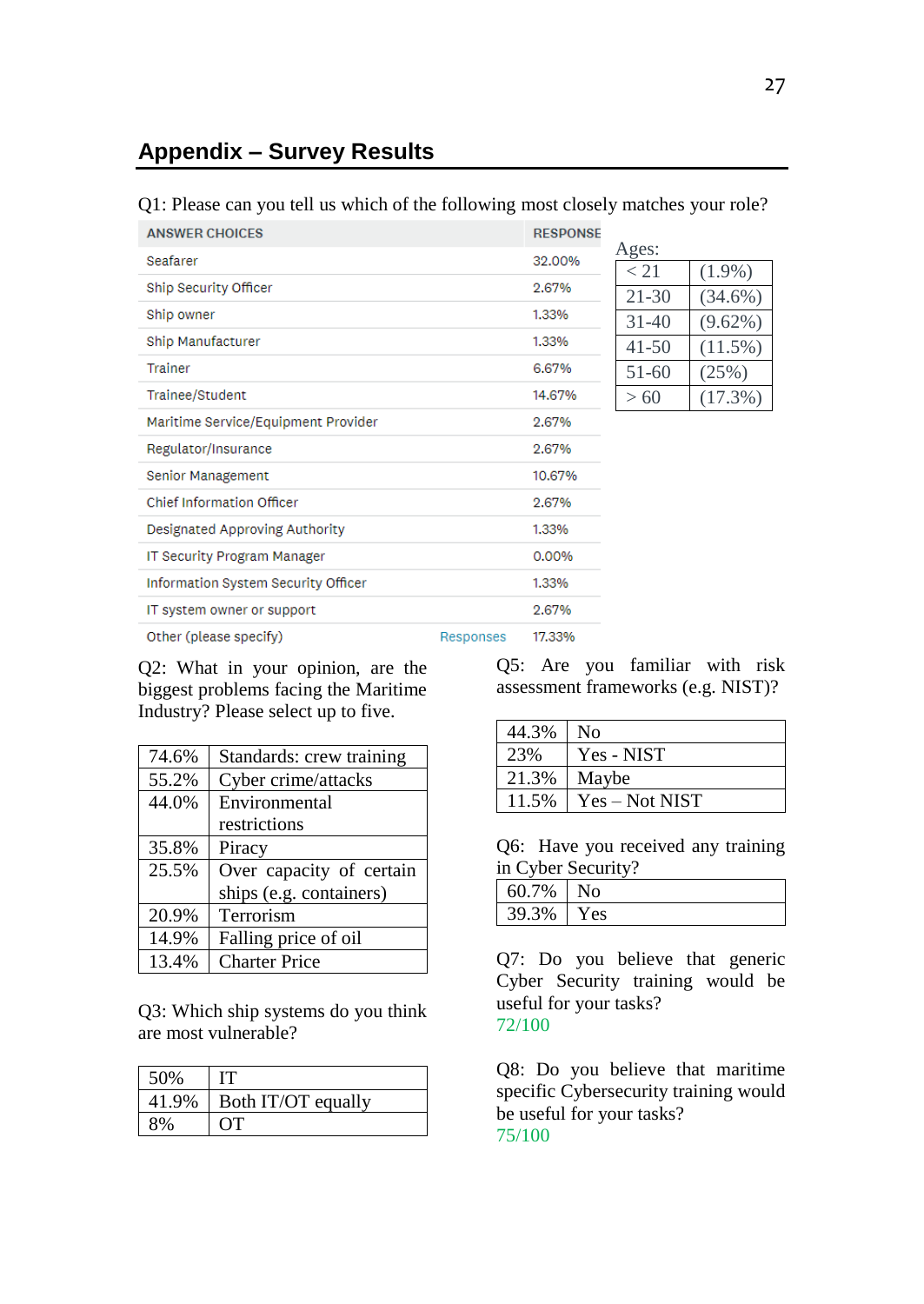## **Appendix – Survey Results**

#### Q1: Please can you tell us which of the following most closely matches your role?

| <b>ANSWER CHOICES</b>               |           | <b>RESPONSE</b> |               |                         |
|-------------------------------------|-----------|-----------------|---------------|-------------------------|
| Seafarer                            |           | 32.00%          | Ages:         |                         |
| Ship Security Officer               |           | 2.67%           | < 21<br>21-30 | $(1.9\%)$<br>$(34.6\%)$ |
| Ship owner                          |           | 1.33%           | $31 - 40$     | $(9.62\%)$              |
| Ship Manufacturer                   |           | 1.33%           | $41 - 50$     | $(11.5\%)$              |
| Trainer                             |           | 6.67%           | $51-60$       | (25%)                   |
| Trainee/Student                     |           | 14.67%          | >60           | $(17.3\%)$              |
| Maritime Service/Equipment Provider |           | 2.67%           |               |                         |
| Regulator/Insurance                 |           | 2.67%           |               |                         |
| Senior Management                   |           | 10.67%          |               |                         |
| <b>Chief Information Officer</b>    |           | 2.67%           |               |                         |
| Designated Approving Authority      |           | 1.33%           |               |                         |
| IT Security Program Manager         |           | 0.00%           |               |                         |
| Information System Security Officer |           | 1.33%           |               |                         |
| IT system owner or support          |           | 2.67%           |               |                         |
| Other (please specify)              | Responses | 17.33%          |               |                         |

Q2: What in your opinion, are the biggest problems facing the Maritime Industry? Please select up to five.

| 74.6% | Standards: crew training |
|-------|--------------------------|
| 55.2% | Cyber crime/attacks      |
| 44.0% | Environmental            |
|       | restrictions             |
| 35.8% | Piracy                   |
| 25.5% | Over capacity of certain |
|       | ships (e.g. containers)  |
| 20.9% | Terrorism                |
| 14.9% | Falling price of oil     |
| 13.4% | <b>Charter Price</b>     |

Q3: Which ship systems do you think are most vulnerable?

| 50%   |                    |
|-------|--------------------|
| 41.9% | Both IT/OT equally |
| 3%    | $\cdot$ T          |

Q5: Are you familiar with risk assessment frameworks (e.g. NIST)?

| 44.3% | N <sub>0</sub> |
|-------|----------------|
| 23%   | Yes - NIST     |
| 21.3% | Maybe          |
| 11.5% | Yes – Not NIST |

Q6: Have you received any training in Cyber Security?

| 60.7% |      |
|-------|------|
| 39.3% | Y es |

Q7: Do you believe that generic Cyber Security training would be useful for your tasks? 72/100

Q8: Do you believe that maritime specific Cybersecurity training would be useful for your tasks? 75/100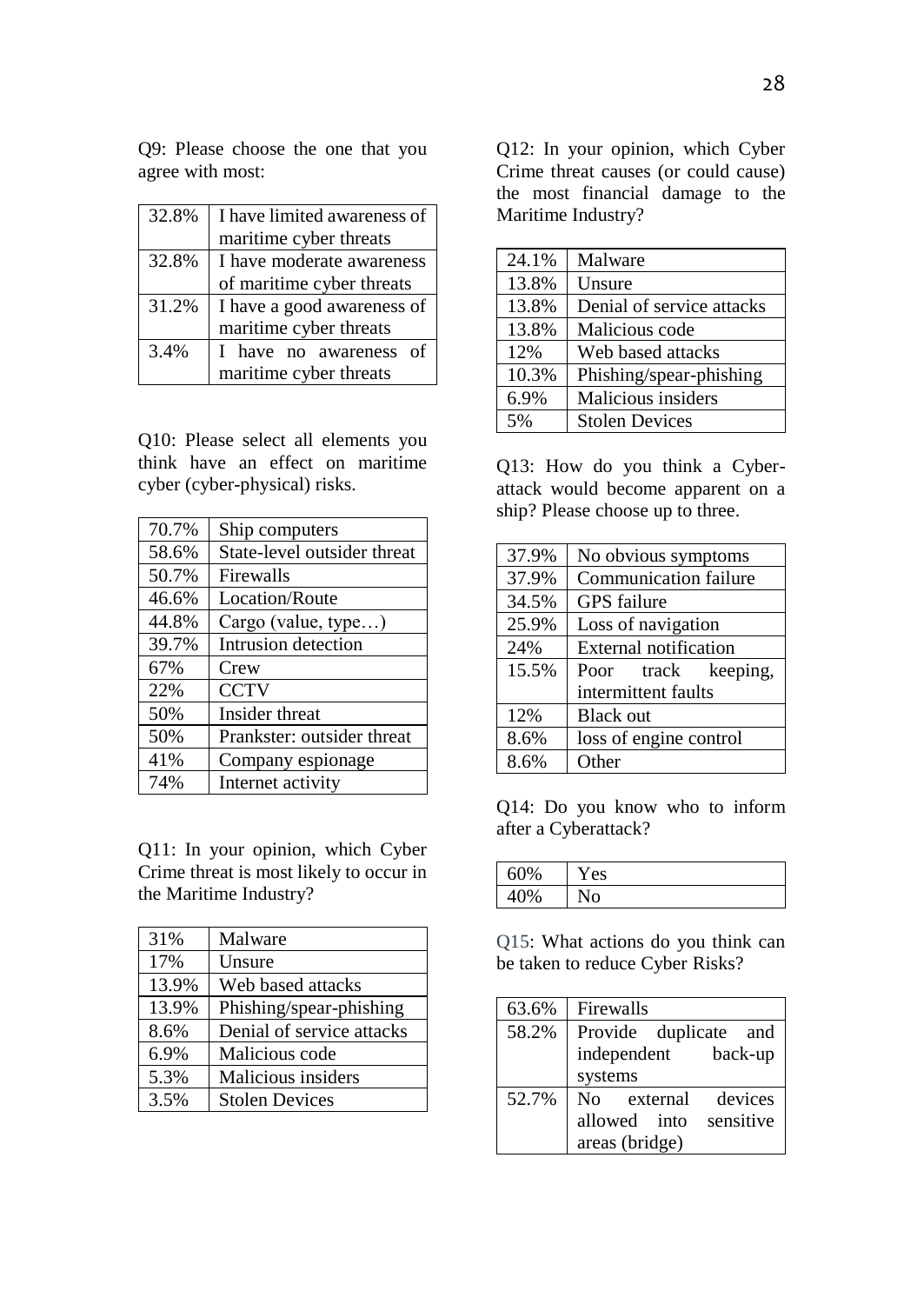Q9: Please choose the one that you agree with most:

| 32.8% | I have limited awareness of |  |  |
|-------|-----------------------------|--|--|
|       | maritime cyber threats      |  |  |
| 32.8% | I have moderate awareness   |  |  |
|       | of maritime cyber threats   |  |  |
| 31.2% | I have a good awareness of  |  |  |
|       | maritime cyber threats      |  |  |
| 3.4%  | I have no awareness<br>οf   |  |  |
|       | maritime cyber threats      |  |  |

Q10: Please select all elements you think have an effect on maritime cyber (cyber-physical) risks.

| 70.7% | Ship computers              |
|-------|-----------------------------|
| 58.6% | State-level outsider threat |
| 50.7% | Firewalls                   |
| 46.6% | Location/Route              |
| 44.8% | Cargo (value, type)         |
| 39.7% | Intrusion detection         |
| 67%   | Crew                        |
| 22%   | <b>CCTV</b>                 |
| 50%   | Insider threat              |
| 50%   | Prankster: outsider threat  |
| 41%   | Company espionage           |
| 74%   | Internet activity           |

Q11: In your opinion, which Cyber Crime threat is most likely to occur in the Maritime Industry?

| 31%   | Malware                   |
|-------|---------------------------|
| 17%   | Unsure                    |
| 13.9% | Web based attacks         |
| 13.9% | Phishing/spear-phishing   |
| 8.6%  | Denial of service attacks |
| 6.9%  | Malicious code            |
| 5.3%  | Malicious insiders        |
| 3.5%  | <b>Stolen Devices</b>     |

Q12: In your opinion, which Cyber Crime threat causes (or could cause) the most financial damage to the Maritime Industry?

| 24.1% | Malware                   |
|-------|---------------------------|
| 13.8% | Unsure                    |
| 13.8% | Denial of service attacks |
| 13.8% | Malicious code            |
| 12%   | Web based attacks         |
| 10.3% | Phishing/spear-phishing   |
| 6.9%  | Malicious insiders        |
| 5%    | <b>Stolen Devices</b>     |

Q13: How do you think a Cyberattack would become apparent on a ship? Please choose up to three.

| 37.9% | No obvious symptoms    |
|-------|------------------------|
| 37.9% | Communication failure  |
| 34.5% | <b>GPS</b> failure     |
| 25.9% | Loss of navigation     |
| 24%   | External notification  |
| 15.5% | Poor track keeping,    |
|       | intermittent faults    |
| 12%   | <b>Black out</b>       |
| 8.6%  | loss of engine control |
| 8.6%  | Other                  |

Q14: Do you know who to inform after a Cyberattack?

| 60%                 | es |
|---------------------|----|
| $A\Omega$<br>0<br>U |    |

Q15: What actions do you think can be taken to reduce Cyber Risks?

| 63.6% | Firewalls              |
|-------|------------------------|
| 58.2% | Provide duplicate and  |
|       | independent back-up    |
|       | systems                |
| 52.7% | No external devices    |
|       | allowed into sensitive |
|       | areas (bridge)         |